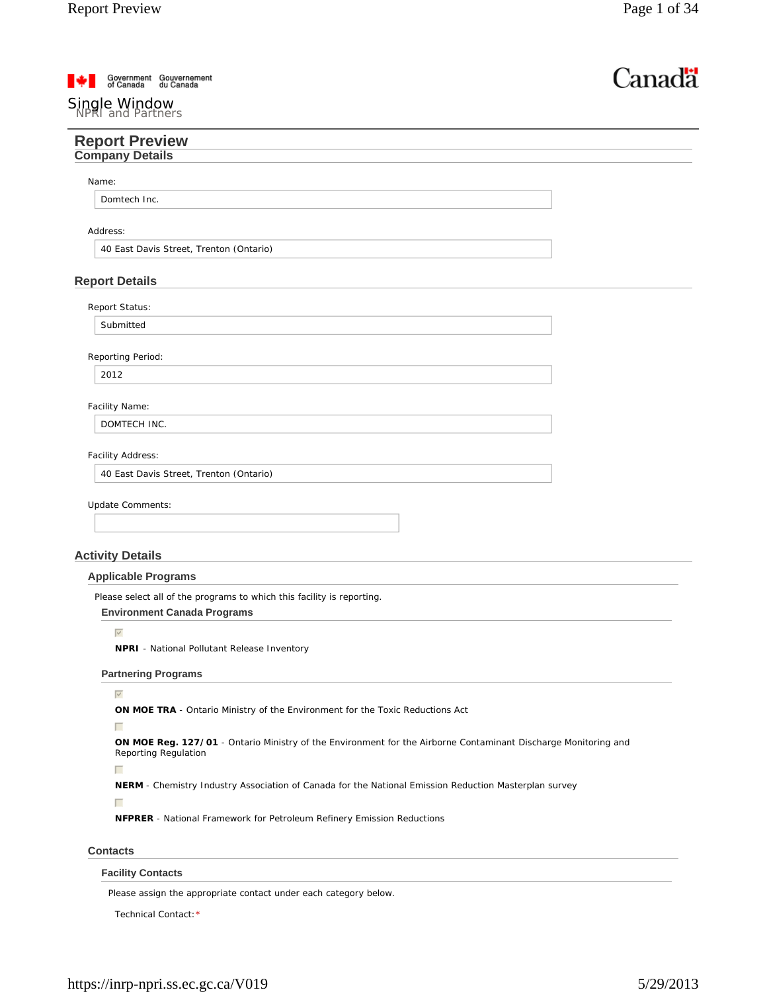| Government<br>of Canada | Gouvernement<br>du Canada |  |
|-------------------------|---------------------------|--|
|                         |                           |  |

# Single Window<br>NPRI and Partners

| Canadä |
|--------|
|--------|

| <b>Report Preview</b><br><b>Company Details</b>                                                                                        |  |
|----------------------------------------------------------------------------------------------------------------------------------------|--|
|                                                                                                                                        |  |
| Name:                                                                                                                                  |  |
| Domtech Inc.                                                                                                                           |  |
|                                                                                                                                        |  |
| Address:                                                                                                                               |  |
| 40 East Davis Street, Trenton (Ontario)                                                                                                |  |
| <b>Report Details</b>                                                                                                                  |  |
|                                                                                                                                        |  |
| Report Status:                                                                                                                         |  |
| Submitted                                                                                                                              |  |
| Reporting Period:                                                                                                                      |  |
| 2012                                                                                                                                   |  |
|                                                                                                                                        |  |
| Facility Name:                                                                                                                         |  |
| DOMTECH INC.                                                                                                                           |  |
| Facility Address:                                                                                                                      |  |
| 40 East Davis Street, Trenton (Ontario)                                                                                                |  |
|                                                                                                                                        |  |
| Update Comments:                                                                                                                       |  |
|                                                                                                                                        |  |
|                                                                                                                                        |  |
| <b>Activity Details</b>                                                                                                                |  |
| <b>Applicable Programs</b>                                                                                                             |  |
| Please select all of the programs to which this facility is reporting.                                                                 |  |
| <b>Environment Canada Programs</b>                                                                                                     |  |
| $\overline{\vee}$                                                                                                                      |  |
| <b>NPRI</b> - National Pollutant Release Inventory                                                                                     |  |
| <b>Partnering Programs</b>                                                                                                             |  |
| $\overline{\vee}$                                                                                                                      |  |
| ON MOE TRA - Ontario Ministry of the Environment for the Toxic Reductions Act                                                          |  |
| г                                                                                                                                      |  |
| ON MOE Reg. 127/01 - Ontario Ministry of the Environment for the Airborne Contaminant Discharge Monitoring and<br>Reporting Regulation |  |
| г                                                                                                                                      |  |
| <b>NERM</b> - Chemistry Industry Association of Canada for the National Emission Reduction Masterplan survey                           |  |
| г                                                                                                                                      |  |
| <b>NFPRER</b> - National Framework for Petroleum Refinery Emission Reductions                                                          |  |
|                                                                                                                                        |  |
| <b>Contacts</b>                                                                                                                        |  |

Please assign the appropriate contact under each category below.

Technical Contact:\*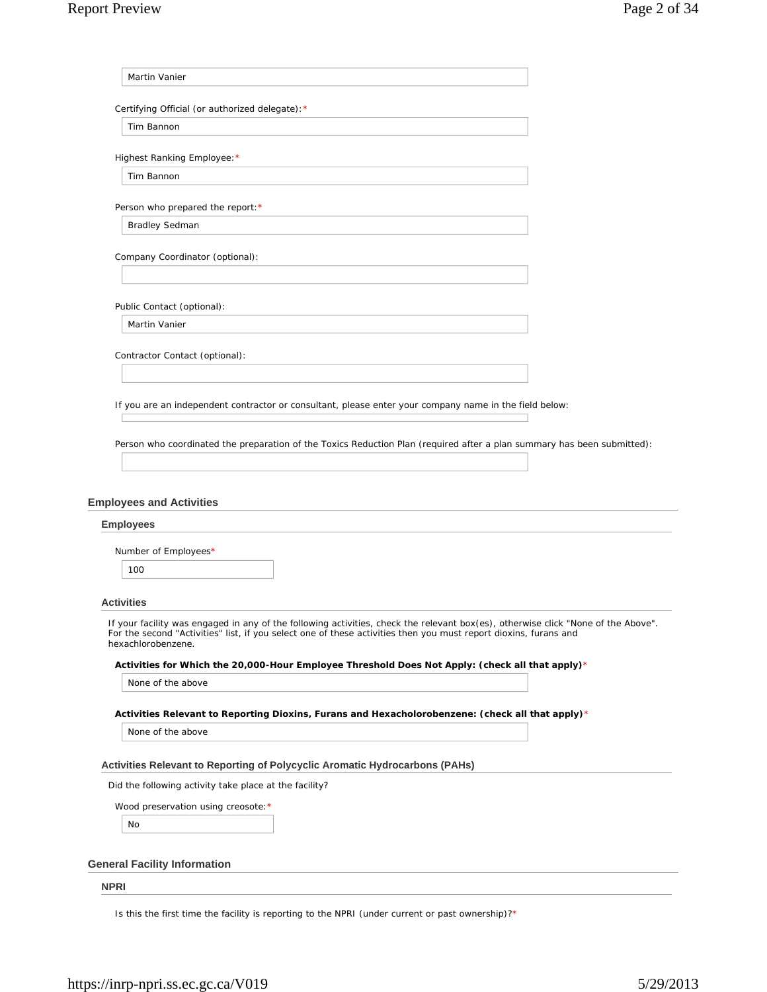| Martin Vanier                                                                                                                                                                                                                                                                                   |  |
|-------------------------------------------------------------------------------------------------------------------------------------------------------------------------------------------------------------------------------------------------------------------------------------------------|--|
| Certifying Official (or authorized delegate): *                                                                                                                                                                                                                                                 |  |
| Tim Bannon                                                                                                                                                                                                                                                                                      |  |
| Highest Ranking Employee: *                                                                                                                                                                                                                                                                     |  |
| Tim Bannon                                                                                                                                                                                                                                                                                      |  |
| Person who prepared the report: *                                                                                                                                                                                                                                                               |  |
| <b>Bradley Sedman</b>                                                                                                                                                                                                                                                                           |  |
| Company Coordinator (optional):                                                                                                                                                                                                                                                                 |  |
| Public Contact (optional):                                                                                                                                                                                                                                                                      |  |
| Martin Vanier                                                                                                                                                                                                                                                                                   |  |
| Contractor Contact (optional):                                                                                                                                                                                                                                                                  |  |
|                                                                                                                                                                                                                                                                                                 |  |
| If you are an independent contractor or consultant, please enter your company name in the field below:                                                                                                                                                                                          |  |
|                                                                                                                                                                                                                                                                                                 |  |
| Person who coordinated the preparation of the Toxics Reduction Plan (required after a plan summary has been submitted):                                                                                                                                                                         |  |
| <b>Employees and Activities</b>                                                                                                                                                                                                                                                                 |  |
| <b>Employees</b>                                                                                                                                                                                                                                                                                |  |
| Number of Employees*                                                                                                                                                                                                                                                                            |  |
| 100                                                                                                                                                                                                                                                                                             |  |
|                                                                                                                                                                                                                                                                                                 |  |
| <b>Activities</b><br>If your facility was engaged in any of the following activities, check the relevant box(es), otherwise click "None of the Above"<br>For the second "Activities" list, if you select one of these activities then you must report dioxins, furans and<br>hexachlorobenzene. |  |
| Activities for Which the 20,000-Hour Employee Threshold Does Not Apply: (check all that apply)*                                                                                                                                                                                                 |  |
| None of the above                                                                                                                                                                                                                                                                               |  |
| Activities Relevant to Reporting Dioxins, Furans and Hexacholorobenzene: (check all that apply)*                                                                                                                                                                                                |  |
| None of the above                                                                                                                                                                                                                                                                               |  |
| Activities Relevant to Reporting of Polycyclic Aromatic Hydrocarbons (PAHs)                                                                                                                                                                                                                     |  |
| Did the following activity take place at the facility?                                                                                                                                                                                                                                          |  |
| Wood preservation using creosote: *                                                                                                                                                                                                                                                             |  |
| No                                                                                                                                                                                                                                                                                              |  |
|                                                                                                                                                                                                                                                                                                 |  |

**NPRI**

Is this the first time the facility is reporting to the NPRI (under current or past ownership)?\*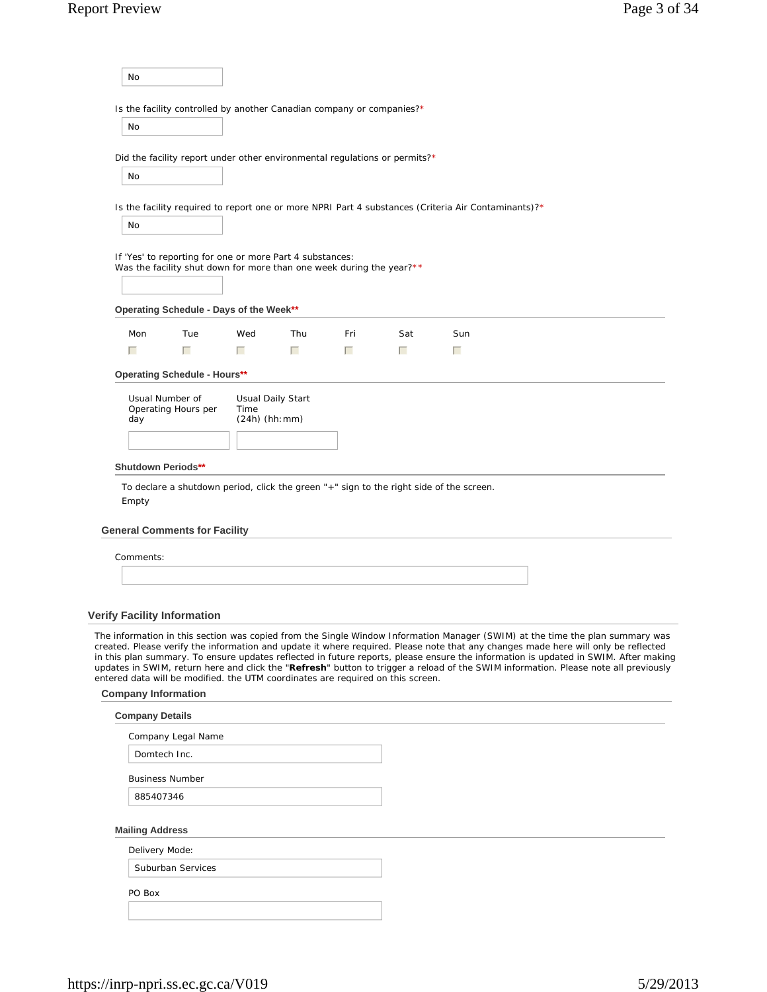| No                                 |                                                                                                                                  |                  |                          |        |     |                                                                                                                                                                                                                                                                                                                                                                                                                                                                                                                                                   |  |
|------------------------------------|----------------------------------------------------------------------------------------------------------------------------------|------------------|--------------------------|--------|-----|---------------------------------------------------------------------------------------------------------------------------------------------------------------------------------------------------------------------------------------------------------------------------------------------------------------------------------------------------------------------------------------------------------------------------------------------------------------------------------------------------------------------------------------------------|--|
|                                    | Is the facility controlled by another Canadian company or companies?*                                                            |                  |                          |        |     |                                                                                                                                                                                                                                                                                                                                                                                                                                                                                                                                                   |  |
| <b>No</b>                          |                                                                                                                                  |                  |                          |        |     |                                                                                                                                                                                                                                                                                                                                                                                                                                                                                                                                                   |  |
|                                    | Did the facility report under other environmental regulations or permits?*                                                       |                  |                          |        |     |                                                                                                                                                                                                                                                                                                                                                                                                                                                                                                                                                   |  |
| No                                 |                                                                                                                                  |                  |                          |        |     |                                                                                                                                                                                                                                                                                                                                                                                                                                                                                                                                                   |  |
|                                    |                                                                                                                                  |                  |                          |        |     |                                                                                                                                                                                                                                                                                                                                                                                                                                                                                                                                                   |  |
|                                    |                                                                                                                                  |                  |                          |        |     | Is the facility required to report one or more NPRI Part 4 substances (Criteria Air Contaminants)?*                                                                                                                                                                                                                                                                                                                                                                                                                                               |  |
| No                                 |                                                                                                                                  |                  |                          |        |     |                                                                                                                                                                                                                                                                                                                                                                                                                                                                                                                                                   |  |
|                                    | If 'Yes' to reporting for one or more Part 4 substances:<br>Was the facility shut down for more than one week during the year?** |                  |                          |        |     |                                                                                                                                                                                                                                                                                                                                                                                                                                                                                                                                                   |  |
|                                    | Operating Schedule - Days of the Week**                                                                                          |                  |                          |        |     |                                                                                                                                                                                                                                                                                                                                                                                                                                                                                                                                                   |  |
| Mon                                | Tue                                                                                                                              | Wed              | Thu                      | Fri    | Sat | Sun                                                                                                                                                                                                                                                                                                                                                                                                                                                                                                                                               |  |
| г                                  | г                                                                                                                                | П                | $\Box$                   | $\Box$ | П   | п                                                                                                                                                                                                                                                                                                                                                                                                                                                                                                                                                 |  |
|                                    | <b>Operating Schedule - Hours**</b>                                                                                              |                  |                          |        |     |                                                                                                                                                                                                                                                                                                                                                                                                                                                                                                                                                   |  |
|                                    | Usual Number of                                                                                                                  |                  |                          |        |     |                                                                                                                                                                                                                                                                                                                                                                                                                                                                                                                                                   |  |
|                                    | Operating Hours per                                                                                                              | Time             | <b>Usual Daily Start</b> |        |     |                                                                                                                                                                                                                                                                                                                                                                                                                                                                                                                                                   |  |
| day                                |                                                                                                                                  | $(24h)$ (hh: mm) |                          |        |     |                                                                                                                                                                                                                                                                                                                                                                                                                                                                                                                                                   |  |
|                                    |                                                                                                                                  |                  |                          |        |     |                                                                                                                                                                                                                                                                                                                                                                                                                                                                                                                                                   |  |
|                                    |                                                                                                                                  |                  |                          |        |     |                                                                                                                                                                                                                                                                                                                                                                                                                                                                                                                                                   |  |
| <b>Shutdown Periods**</b><br>Empty | To declare a shutdown period, click the green "+" sign to the right side of the screen.                                          |                  |                          |        |     |                                                                                                                                                                                                                                                                                                                                                                                                                                                                                                                                                   |  |
|                                    | <b>General Comments for Facility</b>                                                                                             |                  |                          |        |     |                                                                                                                                                                                                                                                                                                                                                                                                                                                                                                                                                   |  |
| Comments:                          |                                                                                                                                  |                  |                          |        |     |                                                                                                                                                                                                                                                                                                                                                                                                                                                                                                                                                   |  |
|                                    |                                                                                                                                  |                  |                          |        |     |                                                                                                                                                                                                                                                                                                                                                                                                                                                                                                                                                   |  |
|                                    |                                                                                                                                  |                  |                          |        |     |                                                                                                                                                                                                                                                                                                                                                                                                                                                                                                                                                   |  |
|                                    | <b>Verify Facility Information</b>                                                                                               |                  |                          |        |     |                                                                                                                                                                                                                                                                                                                                                                                                                                                                                                                                                   |  |
|                                    | entered data will be modified. the UTM coordinates are required on this screen.                                                  |                  |                          |        |     | The information in this section was copied from the Single Window Information Manager (SWIM) at the time the plan summary was<br>created. Please verify the information and update it where required. Please note that any changes made here will only be reflected<br>in this plan summary. To ensure updates reflected in future reports, please ensure the information is updated in SWIM. After making<br>updates in SWIM, return here and click the "Refresh" button to trigger a reload of the SWIM information. Please note all previously |  |
| <b>Company Information</b>         |                                                                                                                                  |                  |                          |        |     |                                                                                                                                                                                                                                                                                                                                                                                                                                                                                                                                                   |  |
| <b>Company Details</b>             |                                                                                                                                  |                  |                          |        |     |                                                                                                                                                                                                                                                                                                                                                                                                                                                                                                                                                   |  |
|                                    | Company Legal Name                                                                                                               |                  |                          |        |     |                                                                                                                                                                                                                                                                                                                                                                                                                                                                                                                                                   |  |
|                                    | Domtech Inc.                                                                                                                     |                  |                          |        |     |                                                                                                                                                                                                                                                                                                                                                                                                                                                                                                                                                   |  |
|                                    | <b>Business Number</b>                                                                                                           |                  |                          |        |     |                                                                                                                                                                                                                                                                                                                                                                                                                                                                                                                                                   |  |
| 885407346                          |                                                                                                                                  |                  |                          |        |     |                                                                                                                                                                                                                                                                                                                                                                                                                                                                                                                                                   |  |
|                                    |                                                                                                                                  |                  |                          |        |     |                                                                                                                                                                                                                                                                                                                                                                                                                                                                                                                                                   |  |
| <b>Mailing Address</b>             |                                                                                                                                  |                  |                          |        |     |                                                                                                                                                                                                                                                                                                                                                                                                                                                                                                                                                   |  |
| Delivery Mode:                     | Suburban Services                                                                                                                |                  |                          |        |     |                                                                                                                                                                                                                                                                                                                                                                                                                                                                                                                                                   |  |
| PO Box                             |                                                                                                                                  |                  |                          |        |     |                                                                                                                                                                                                                                                                                                                                                                                                                                                                                                                                                   |  |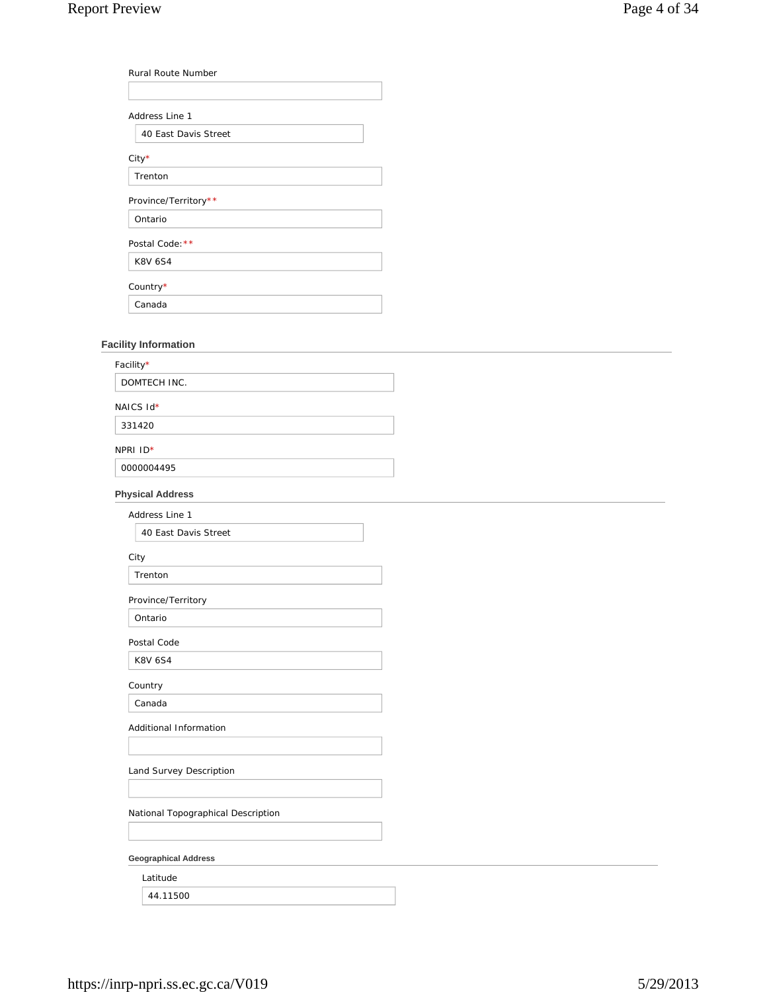| <b>Rural Route Number</b> |  |
|---------------------------|--|
|                           |  |
| Address Line 1            |  |
| 40 East Davis Street      |  |
| City*                     |  |
| Trenton                   |  |
| Province/Territory**      |  |
| Ontario                   |  |
| Postal Code: **           |  |
| <b>K8V 6S4</b>            |  |
| Country*                  |  |
| Canada                    |  |

# **Facility Information**

| Facility*                          |  |
|------------------------------------|--|
| DOMTECH INC.                       |  |
| NAICS Id*                          |  |
| 331420                             |  |
| NPRI ID*                           |  |
| 0000004495                         |  |
| <b>Physical Address</b>            |  |
| Address Line 1                     |  |
| 40 East Davis Street               |  |
| City                               |  |
| Trenton                            |  |
| Province/Territory                 |  |
| Ontario                            |  |
| Postal Code                        |  |
| <b>K8V 6S4</b>                     |  |
| Country                            |  |
| Canada                             |  |
| Additional Information             |  |
|                                    |  |
| Land Survey Description            |  |
|                                    |  |
| National Topographical Description |  |
|                                    |  |
| <b>Geographical Address</b>        |  |
| Latitude                           |  |
| 44.11500                           |  |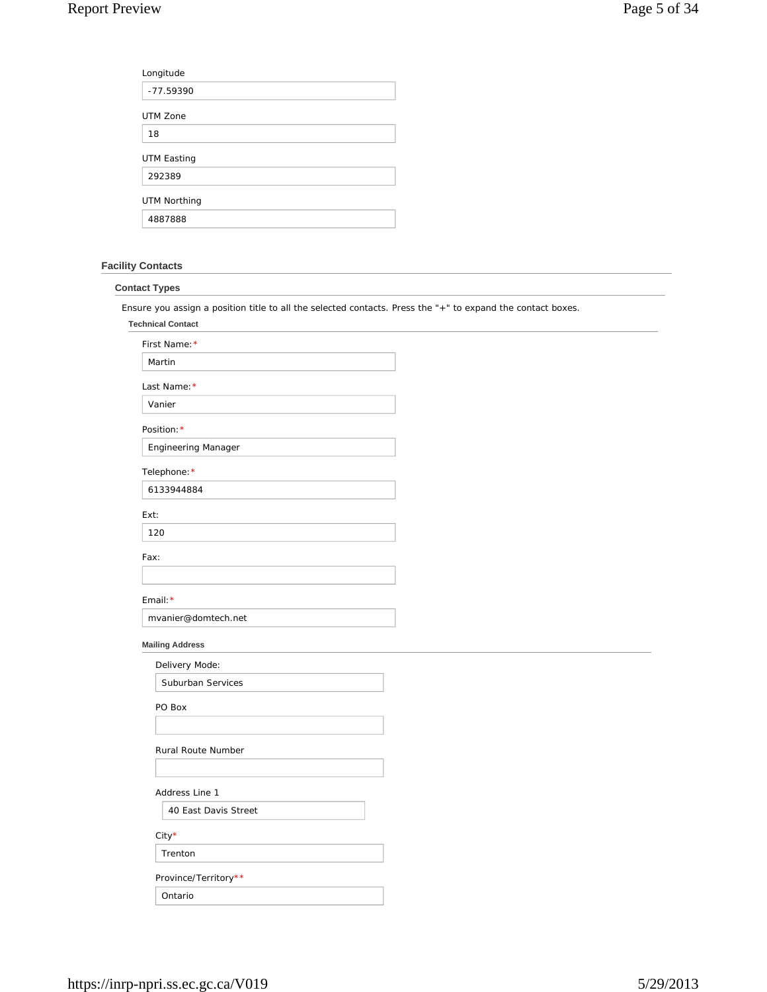| Longitude           |  |
|---------------------|--|
| -77.59390           |  |
| UTM Zone            |  |
| 18                  |  |
| <b>UTM Easting</b>  |  |
| 292389              |  |
| <b>UTM Northing</b> |  |
| 4887888             |  |

# **Facility Contacts**

| <b>Contact Types</b>                     |                                                                                                             |
|------------------------------------------|-------------------------------------------------------------------------------------------------------------|
|                                          | Ensure you assign a position title to all the selected contacts. Press the "+" to expand the contact boxes. |
| <b>Technical Contact</b>                 |                                                                                                             |
| First Name: *                            |                                                                                                             |
| Martin                                   |                                                                                                             |
| Last Name: *                             |                                                                                                             |
| Vanier                                   |                                                                                                             |
| Position: *                              |                                                                                                             |
| Engineering Manager                      |                                                                                                             |
| Telephone: *                             |                                                                                                             |
| 6133944884                               |                                                                                                             |
| Ext:                                     |                                                                                                             |
| 120                                      |                                                                                                             |
| Fax:                                     |                                                                                                             |
|                                          |                                                                                                             |
| Email: *                                 |                                                                                                             |
| mvanier@domtech.net                      |                                                                                                             |
|                                          |                                                                                                             |
| <b>Mailing Address</b><br>Delivery Mode: |                                                                                                             |
| Suburban Services                        |                                                                                                             |
|                                          |                                                                                                             |
| PO Box                                   |                                                                                                             |
|                                          |                                                                                                             |
| Rural Route Number                       |                                                                                                             |
|                                          |                                                                                                             |
| Address Line 1                           |                                                                                                             |
| 40 East Davis Street                     |                                                                                                             |
| City*                                    |                                                                                                             |
| Trenton                                  |                                                                                                             |
| Province/Territory**                     |                                                                                                             |
| Ontario                                  |                                                                                                             |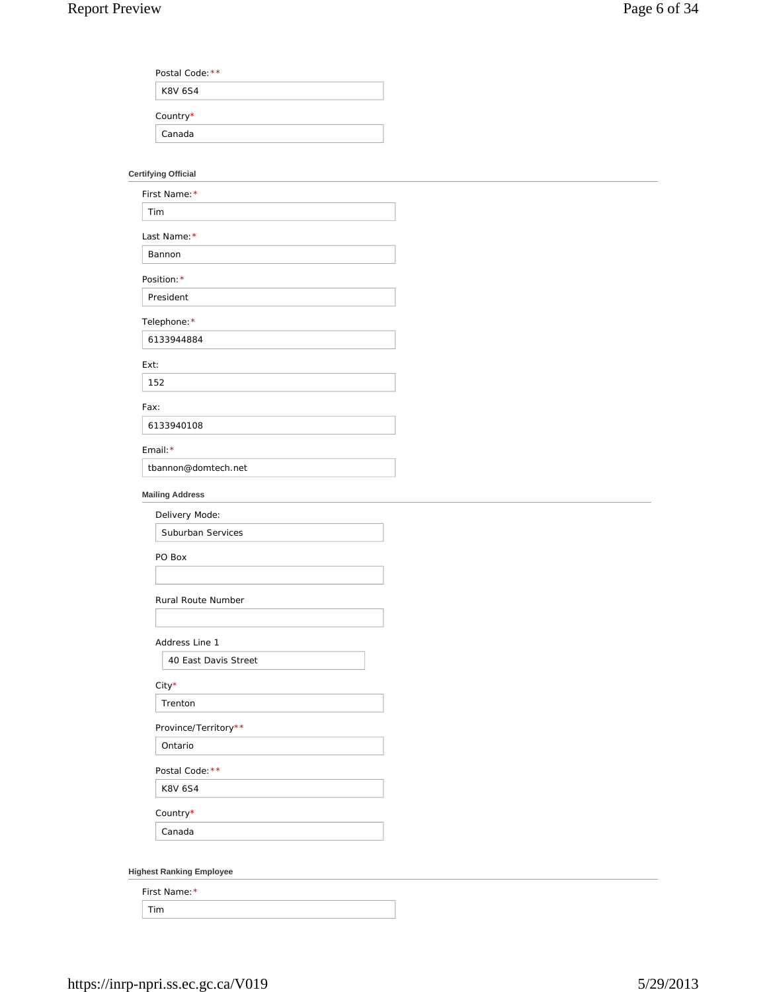| Postal Code: ** |  |
|-----------------|--|
| <b>K8V 6S4</b>  |  |
|                 |  |
| Country*        |  |

# **Certifying Official**

| First Name: *          |  |
|------------------------|--|
| Tim                    |  |
| Last Name: *           |  |
| Bannon                 |  |
| Position: *            |  |
| President              |  |
| Telephone: *           |  |
| 6133944884             |  |
| Ext:                   |  |
| 152                    |  |
| Fax:                   |  |
| 6133940108             |  |
| Email: *               |  |
| tbannon@domtech.net    |  |
| <b>Mailing Address</b> |  |
| Delivery Mode:         |  |
| Suburban Services      |  |
| PO Box                 |  |
|                        |  |
| Rural Route Number     |  |
|                        |  |
| Address Line 1         |  |
| 40 East Davis Street   |  |
| $City*$                |  |
| Trenton                |  |
| Province/Territory**   |  |
| Ontario                |  |
| Postal Code: **        |  |
| K8V 6S4                |  |
|                        |  |
| Country $^{\star}$     |  |

**Highest Ranking Employee**

| First Name: * |  |
|---------------|--|
|               |  |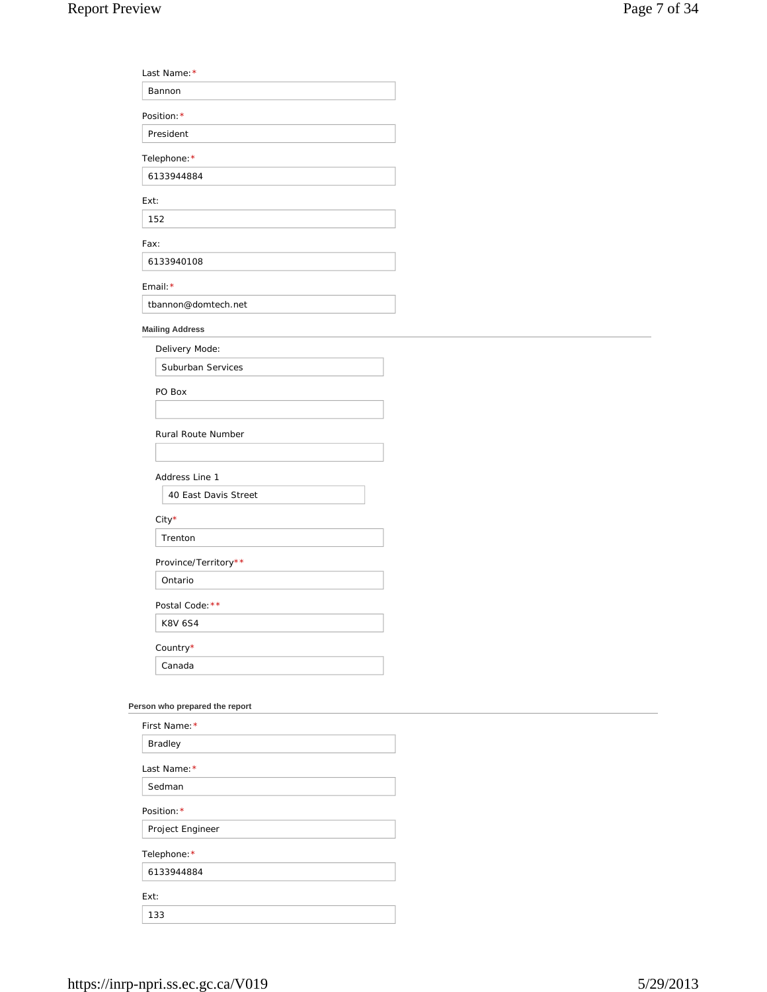Last Name:\*

| Bannon                                                                                         |  |
|------------------------------------------------------------------------------------------------|--|
| Position: *                                                                                    |  |
| President                                                                                      |  |
| Telephone: *                                                                                   |  |
| 6133944884                                                                                     |  |
| Ext:                                                                                           |  |
| 152                                                                                            |  |
| Fax:                                                                                           |  |
| 6133940108                                                                                     |  |
| Email: *                                                                                       |  |
| tbannon@domtech.net                                                                            |  |
| <b>Mailing Address</b>                                                                         |  |
| Delivery Mode:                                                                                 |  |
| Suburban Services                                                                              |  |
| PO Box                                                                                         |  |
|                                                                                                |  |
| Rural Route Number                                                                             |  |
|                                                                                                |  |
| Address Line 1                                                                                 |  |
| 40 East Davis Street                                                                           |  |
|                                                                                                |  |
| City*<br>Trenton                                                                               |  |
|                                                                                                |  |
| Province/Territory**<br>Ontario                                                                |  |
|                                                                                                |  |
| Postal Code: **                                                                                |  |
| <b>K8V 6S4</b>                                                                                 |  |
| Country*                                                                                       |  |
| Canada                                                                                         |  |
| Person who prepared the report                                                                 |  |
| First Name: *                                                                                  |  |
| Bradley                                                                                        |  |
|                                                                                                |  |
|                                                                                                |  |
|                                                                                                |  |
|                                                                                                |  |
|                                                                                                |  |
|                                                                                                |  |
|                                                                                                |  |
| Ext:                                                                                           |  |
|                                                                                                |  |
| Last Name: *<br>Sedman<br>Position: *<br>Project Engineer<br>Telephone: *<br>6133944884<br>133 |  |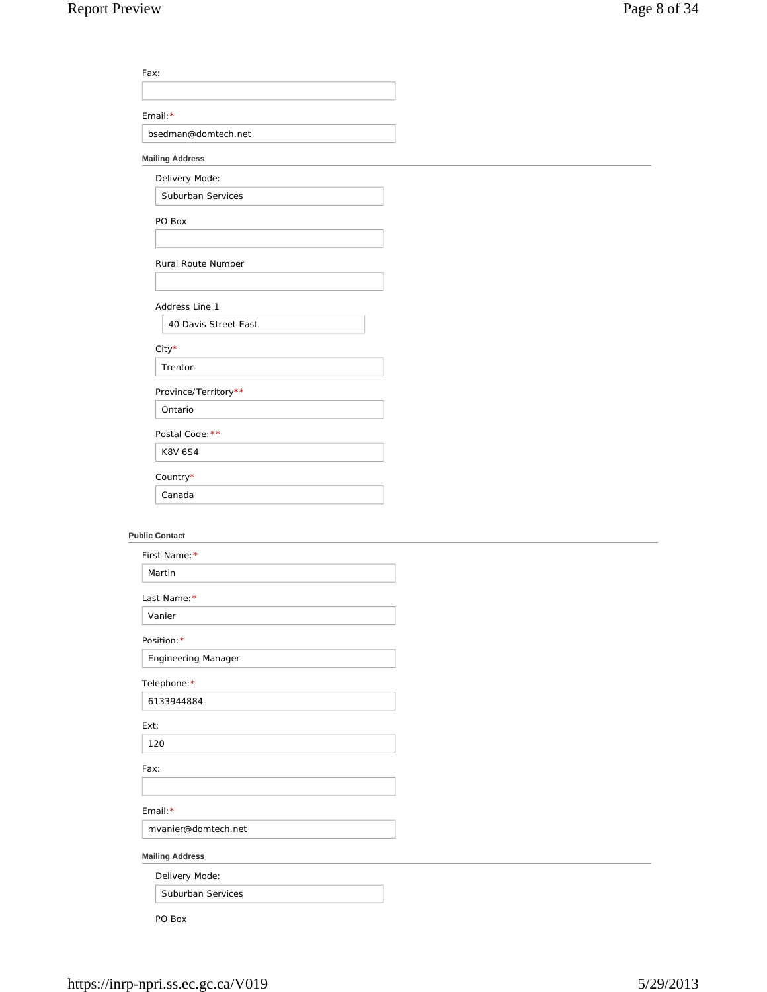| Fax:                   |  |
|------------------------|--|
|                        |  |
| Email: $*$             |  |
| bsedman@domtech.net    |  |
| <b>Mailing Address</b> |  |

## **Mailing Address**

Suburban Services

Delivery Mode:

PO Box

Rural Route Number

Address Line 1

40 Davis Street East

City\*

Trenton

Province/Territory\*\*

Ontario

Postal Code: \*\*

K8V 6S4

Country\*

Canada

## **Public Contact**

| First Name: *              |  |
|----------------------------|--|
| Martin                     |  |
| Last Name: *               |  |
| Vanier                     |  |
| Position: *                |  |
| <b>Engineering Manager</b> |  |
| Telephone: *               |  |
| 6133944884                 |  |
| Ext:                       |  |
| 120                        |  |
| Fax:                       |  |
|                            |  |
| Email: $*$                 |  |
| mvanier@domtech.net        |  |
| <b>Mailing Address</b>     |  |
| Delivery Mode:             |  |
| Suburban Services          |  |

PO Box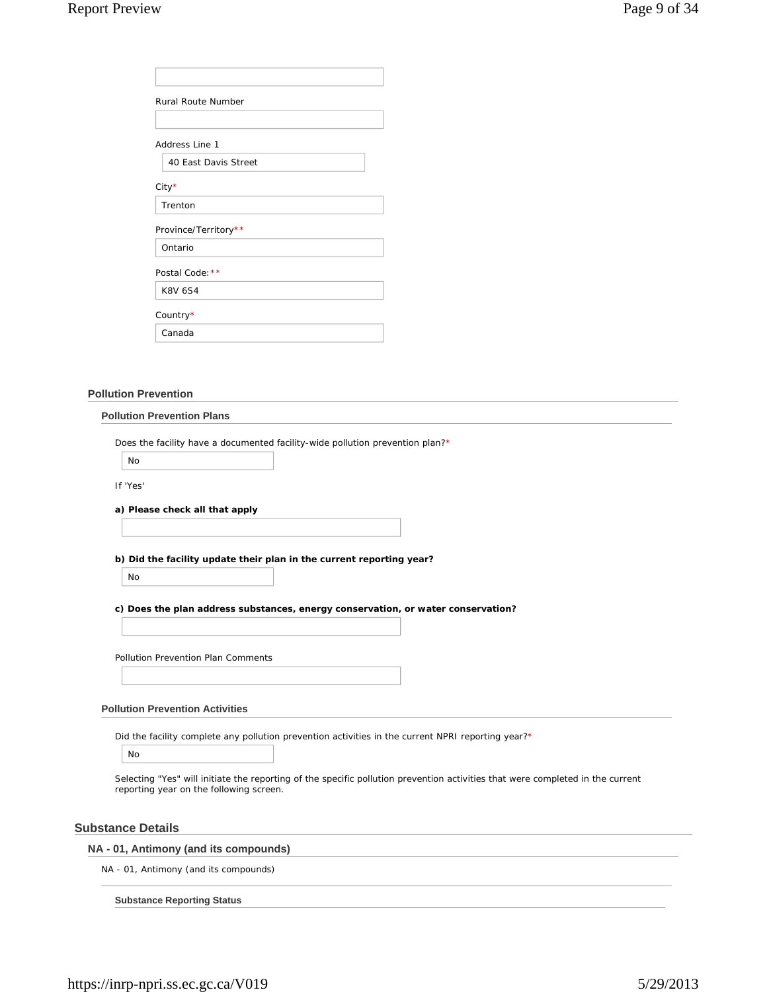| <b>Rural Route Number</b> |
|---------------------------|
|                           |
| Address Line 1            |
| 40 East Davis Street      |
| $City*$                   |
| Trenton                   |
| Province/Territory**      |
| Ontario                   |
| Postal Code: **           |
| <b>K8V 6S4</b>            |
| Country*                  |
| Canada                    |

## **Pollution Prevention**

#### **Pollution Prevention Plans**

Does the facility have a documented facility-wide pollution prevention plan?\*

No

If 'Yes'

**a) Please check all that apply**

**b) Did the facility update their plan in the current reporting year?**

No

**c) Does the plan address substances, energy conservation, or water conservation?**

Pollution Prevention Plan Comments

## **Pollution Prevention Activities**

Did the facility complete any pollution prevention activities in the current NPRI reporting year?\*

No

Selecting "Yes" will initiate the reporting of the specific pollution prevention activities that were completed in the current reporting year on the following screen.

## **Substance Details**

## **NA - 01, Antimony (and its compounds)**

NA - 01, Antimony (and its compounds)

**Substance Reporting Status**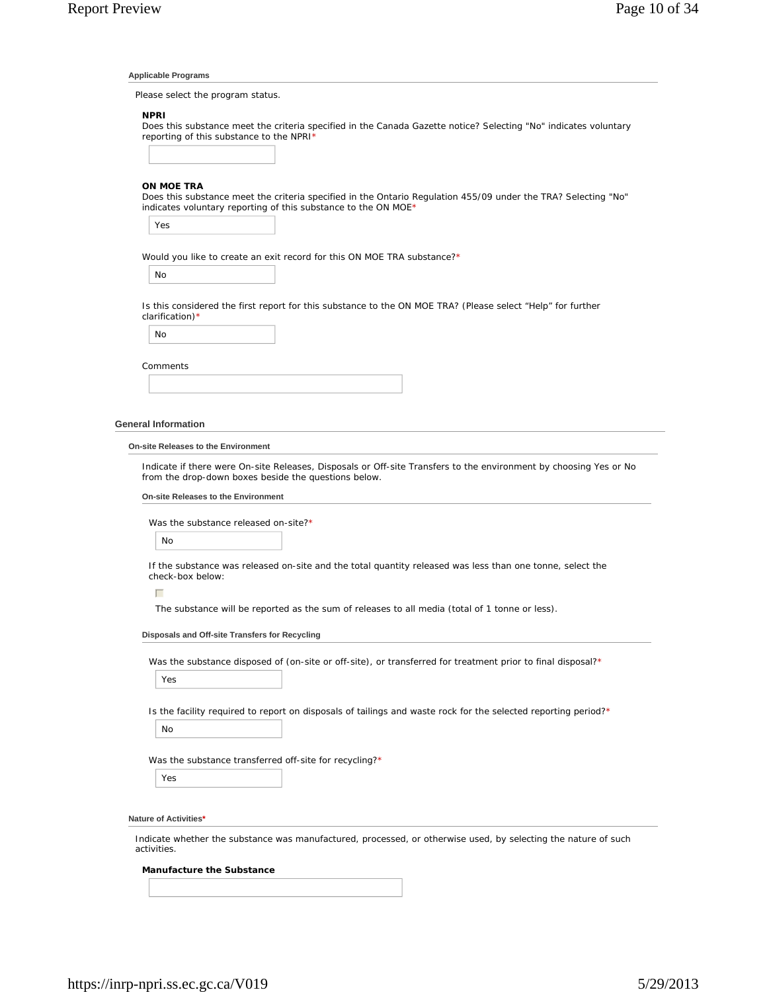#### **Applicable Programs**

Please select the program status.

## **NPRI**

Does this substance meet the criteria specified in the Canada Gazette notice? Selecting "No" indicates voluntary reporting of this substance to the NPRI\*

#### **ON MOE TRA**

Does this substance meet the criteria specified in the Ontario Regulation 455/09 under the TRA? Selecting "No" indicates voluntary reporting of this substance to the ON MOE\*

Yes

Would you like to create an exit record for this ON MOE TRA substance?\*

No

Is this considered the first report for this substance to the ON MOE TRA? (Please select "Help" for further clarification)\*

No

| Comments |  |  |  |
|----------|--|--|--|
|          |  |  |  |

#### **General Information**

#### **On-site Releases to the Environment**

Indicate if there were On-site Releases, Disposals or Off-site Transfers to the environment by choosing Yes or No from the drop-down boxes beside the questions below.

#### **On-site Releases to the Environment**

Was the substance released on-site?\*

No

If the substance was released on-site and the total quantity released was less than one tonne, select the check-box below:

 $\Box$ 

The substance will be reported as the sum of releases to all media (total of 1 tonne or less).

#### **Disposals and Off-site Transfers for Recycling**

Was the substance disposed of (on-site or off-site), or transferred for treatment prior to final disposal?\*

Yes

Is the facility required to report on disposals of tailings and waste rock for the selected reporting period?\*

No

Was the substance transferred off-site for recycling?\*

Yes

#### **Nature of Activities\***

Indicate whether the substance was manufactured, processed, or otherwise used, by selecting the nature of such activities.

## **Manufacture the Substance**

https://inrp-npri.ss.ec.gc.ca/V019 5/29/2013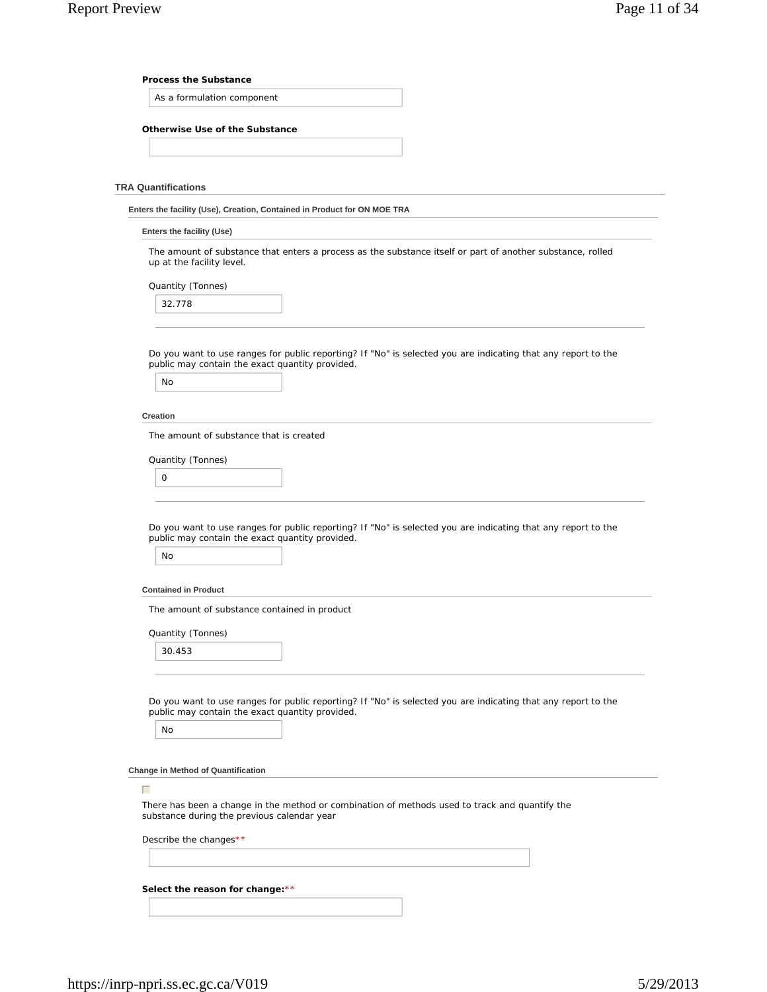#### **Process the Substance**

As a formulation component

## **Otherwise Use of the Substance**

#### **TRA Quantifications**

**Enters the facility (Use), Creation, Contained in Product for ON MOE TRA**

#### **Enters the facility (Use)**

The amount of substance that enters a process as the substance itself or part of another substance, rolled up at the facility level.

Quantity (Tonnes)

| 32.778 |
|--------|
|        |

Do you want to use ranges for public reporting? If "No" is selected you are indicating that any report to the public may contain the exact quantity provided.

| <b>No</b> |  |
|-----------|--|
|-----------|--|

#### **Creation**

The amount of substance that is created

Quantity (Tonnes)

| $\Omega$<br>$\sim$ |  |  |  |
|--------------------|--|--|--|
|                    |  |  |  |

Do you want to use ranges for public reporting? If "No" is selected you are indicating that any report to the public may contain the exact quantity provided.

### **Contained in Product**

The amount of substance contained in product

Quantity (Tonnes)

30.453

Do you want to use ranges for public reporting? If "No" is selected you are indicating that any report to the public may contain the exact quantity provided.

No

 $\Box$ 

**Change in Method of Quantification**

There has been a change in the method or combination of methods used to track and quantify the substance during the previous calendar year

Describe the changes\*\*

**Select the reason for change:**\*\*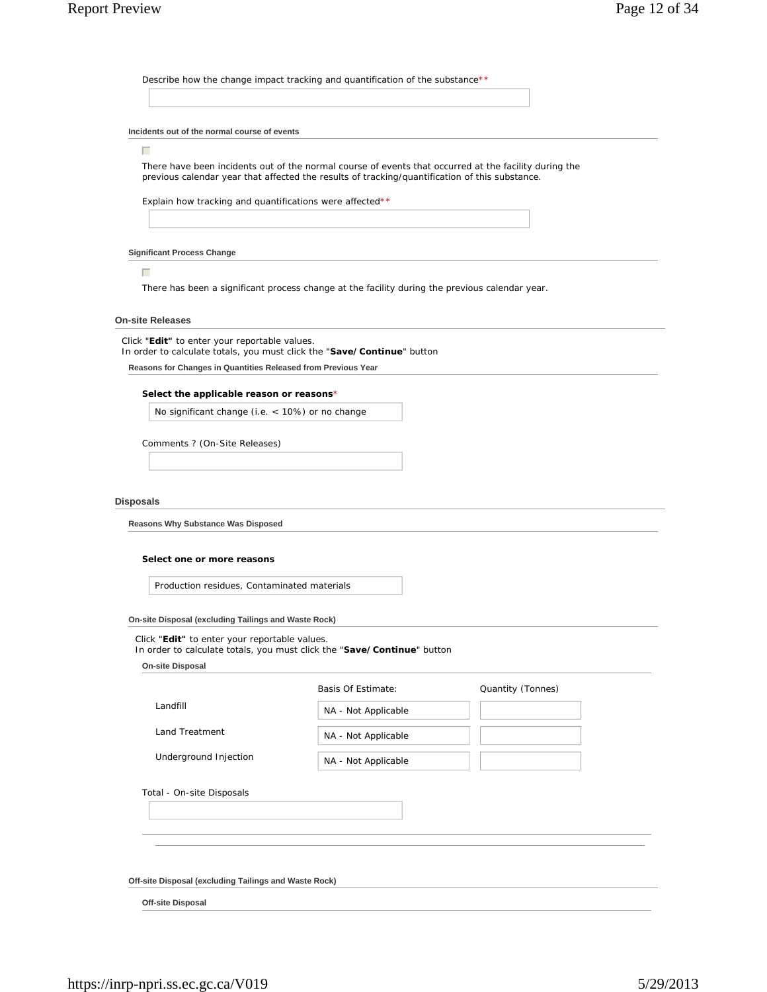Describe how the change impact tracking and quantification of the substance\*\*

#### **Incidents out of the normal course of events**

#### $\Box$

There have been incidents out of the normal course of events that occurred at the facility during the previous calendar year that affected the results of tracking/quantification of this substance.

Explain how tracking and quantifications were affected\*\*

#### **Significant Process Change**

 $\Box$ 

There has been a significant process change at the facility during the previous calendar year.

## **On-site Releases**

Click "**Edit"** to enter your reportable values.

In order to calculate totals, you must click the "**Save/Continue**" button

**Reasons for Changes in Quantities Released from Previous Year**

#### **Select the applicable reason or reasons**\*

No significant change (i.e. < 10%) or no change

Comments ? (On-Site Releases)

#### **Disposals**

**Reasons Why Substance Was Disposed**

#### **Select one or more reasons**

Production residues, Contaminated materials

**On-site Disposal (excluding Tailings and Waste Rock)**

Click "**Edit"** to enter your reportable values.

In order to calculate totals, you must click the "**Save/Continue**" button

| <b>On-site Disposal</b> |
|-------------------------|

|                           | Basis Of Estimate:  | Quantity (Tonnes) |
|---------------------------|---------------------|-------------------|
| Landfill                  | NA - Not Applicable |                   |
| Land Treatment            | NA - Not Applicable |                   |
| Underground Injection     | NA - Not Applicable |                   |
| Total - On-site Disposals |                     |                   |
|                           |                     |                   |
|                           |                     |                   |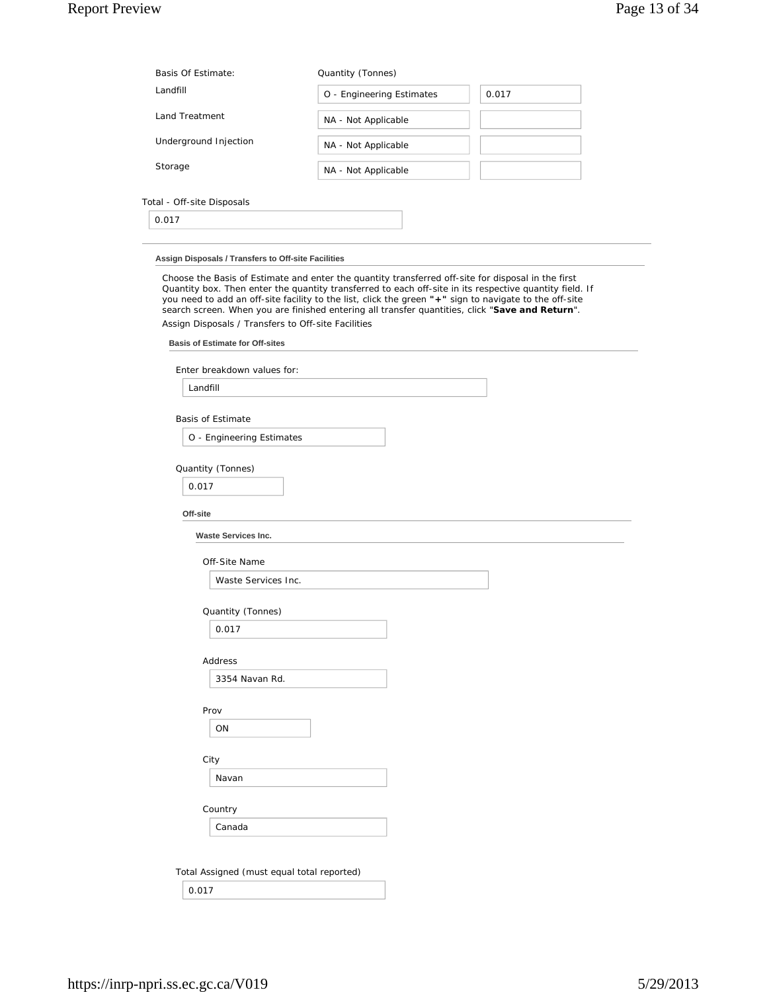| Basis Of Estimate:                                                                            | Quantity (Tonnes)                                                                                                                                                                                         |                                                                                                         |
|-----------------------------------------------------------------------------------------------|-----------------------------------------------------------------------------------------------------------------------------------------------------------------------------------------------------------|---------------------------------------------------------------------------------------------------------|
| Landfill                                                                                      | O - Engineering Estimates                                                                                                                                                                                 | 0.017                                                                                                   |
| <b>Land Treatment</b>                                                                         | NA - Not Applicable                                                                                                                                                                                       |                                                                                                         |
| Underground Injection                                                                         | NA - Not Applicable                                                                                                                                                                                       |                                                                                                         |
| Storage                                                                                       | NA - Not Applicable                                                                                                                                                                                       |                                                                                                         |
| Total - Off-site Disposals                                                                    |                                                                                                                                                                                                           |                                                                                                         |
| 0.017                                                                                         |                                                                                                                                                                                                           |                                                                                                         |
|                                                                                               |                                                                                                                                                                                                           |                                                                                                         |
|                                                                                               | Choose the Basis of Estimate and enter the quantity transferred off-site for disposal in the first                                                                                                        |                                                                                                         |
| Assign Disposals / Transfers to Off-site Facilities<br><b>Basis of Estimate for Off-sites</b> | you need to add an off-site facility to the list, click the green "+" sign to navigate to the off-site<br>search screen. When you are finished entering all transfer quantities, click "Save and Return". |                                                                                                         |
| Enter breakdown values for:                                                                   |                                                                                                                                                                                                           | Quantity box. Then enter the quantity transferred to each off-site in its respective quantity field. If |
| Landfill                                                                                      |                                                                                                                                                                                                           |                                                                                                         |
| <b>Basis of Estimate</b>                                                                      |                                                                                                                                                                                                           |                                                                                                         |
| O - Engineering Estimates                                                                     |                                                                                                                                                                                                           |                                                                                                         |
| Quantity (Tonnes)                                                                             |                                                                                                                                                                                                           |                                                                                                         |

**Off-site**

**Waste Services Inc.**

Off-Site Name

Waste Services Inc.

Quantity (Tonnes)

0.017

Address

3354 Navan Rd.

Prov

ON

City

Navan

Country

Canada

Total Assigned (must equal total reported)

0.017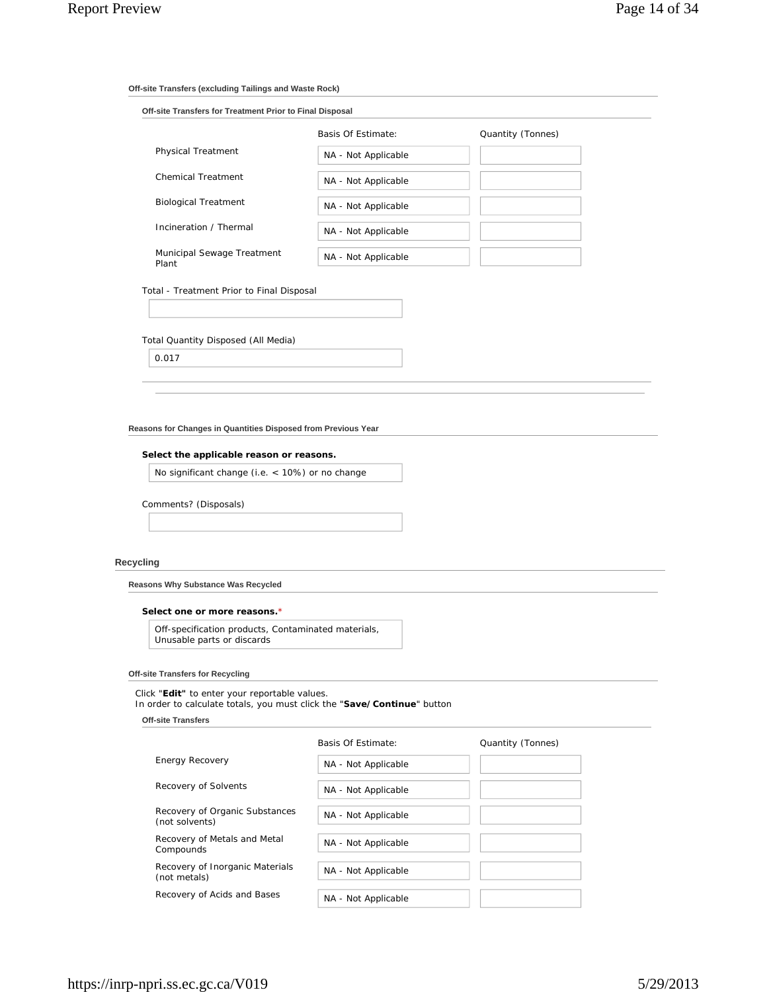## **Off-site Transfers (excluding Tailings and Waste Rock)**

| Off-site Transfers for Treatment Prior to Final Disposal |                     |                   |  |  |  |
|----------------------------------------------------------|---------------------|-------------------|--|--|--|
|                                                          | Basis Of Estimate:  | Quantity (Tonnes) |  |  |  |
| <b>Physical Treatment</b>                                | NA - Not Applicable |                   |  |  |  |
| Chemical Treatment                                       | NA - Not Applicable |                   |  |  |  |
| <b>Biological Treatment</b>                              | NA - Not Applicable |                   |  |  |  |
| Incineration / Thermal                                   | NA - Not Applicable |                   |  |  |  |
| Municipal Sewage Treatment<br>Plant                      | NA - Not Applicable |                   |  |  |  |

### Total - Treatment Prior to Final Disposal

Total Quantity Disposed (All Media)

0.017

**Reasons for Changes in Quantities Disposed from Previous Year**

## **Select the applicable reason or reasons.**

No significant change (i.e. < 10%) or no change

Comments? (Disposals)

#### **Recycling**

**Reasons Why Substance Was Recycled**

#### **Select one or more reasons.**\*

Off-specification products, Contaminated materials, Unusable parts or discards

## **Off-site Transfers for Recycling**

Click "**Edit"** to enter your reportable values.

In order to calculate totals, you must click the "**Save/Continue**" button

**Off-site Transfers**

| <b>Energy Recovery</b>                           | NA - Not Applicable |  |
|--------------------------------------------------|---------------------|--|
| Recovery of Solvents                             | NA - Not Applicable |  |
| Recovery of Organic Substances<br>(not solvents) | NA - Not Applicable |  |
| Recovery of Metals and Metal<br>Compounds        | NA - Not Applicable |  |
| Recovery of Inorganic Materials<br>(not metals)  | NA - Not Applicable |  |
| Recovery of Acids and Bases                      | NA - Not Applicable |  |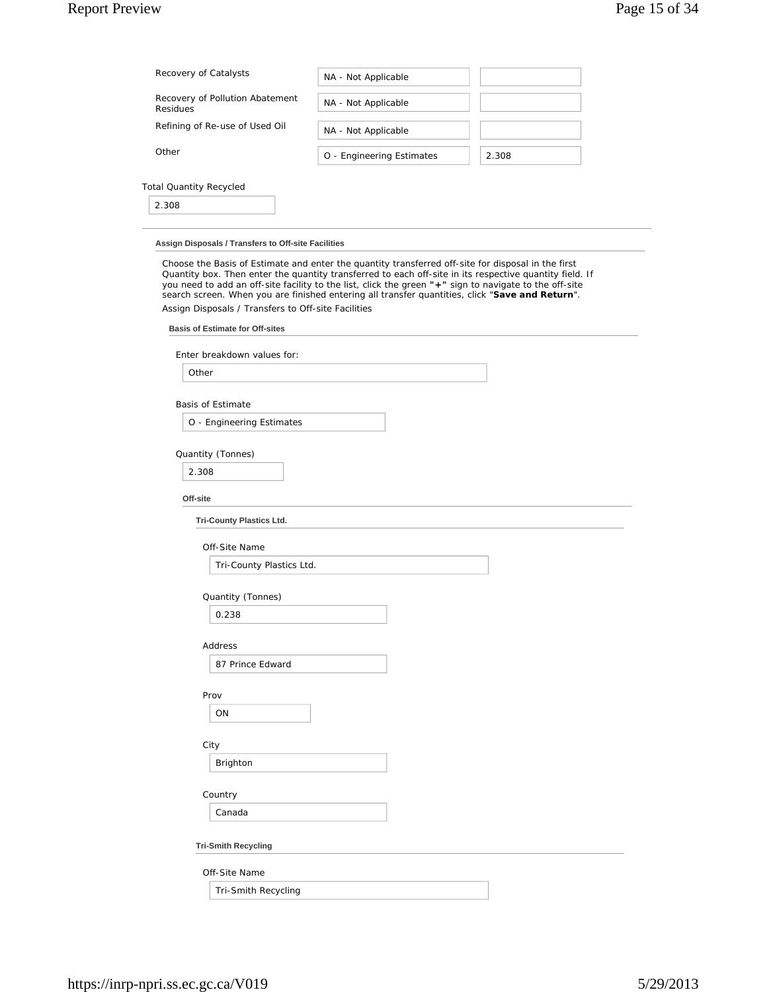# Report Preview Page 15 of 34

| Recovery of Catalysts                       | NA - Not Applicable       |       |
|---------------------------------------------|---------------------------|-------|
| Recovery of Pollution Abatement<br>Residues | NA - Not Applicable       |       |
| Refining of Re-use of Used Oil              | NA - Not Applicable       |       |
| Other                                       | O - Engineering Estimates | 2.308 |
| <b>Total Quantity Recycled</b>              |                           |       |
| 2.308                                       |                           |       |

#### **Assign Disposals / Transfers to Off-site Facilities**

Choose the Basis of Estimate and enter the quantity transferred off-site for disposal in the first Quantity box. Then enter the quantity transferred to each off-site in its respective quantity field. If you need to add an off-site facility to the list, click the green **"+"** sign to navigate to the off-site search screen. When you are finished entering all transfer quantities, click "**Save and Return**". Assign Disposals / Transfers to Off-site Facilities

## **Basis of Estimate for Off-sites**

| Enter breakdown values for: |  |
|-----------------------------|--|
|                             |  |

Other

Basis of Estimate

O - Engineering Estimates

## Quantity (Tonnes)

2.308

**Off-site**

**Tri-County Plastics Ltd.**

Off-Site Name

Tri-County Plastics Ltd.

Quantity (Tonnes)

0.238

Address

87 Prince Edward

Prov

ON

City

Brighton

Country

Canada

**Tri-Smith Recycling**

Off-Site Name

Tri-Smith Recycling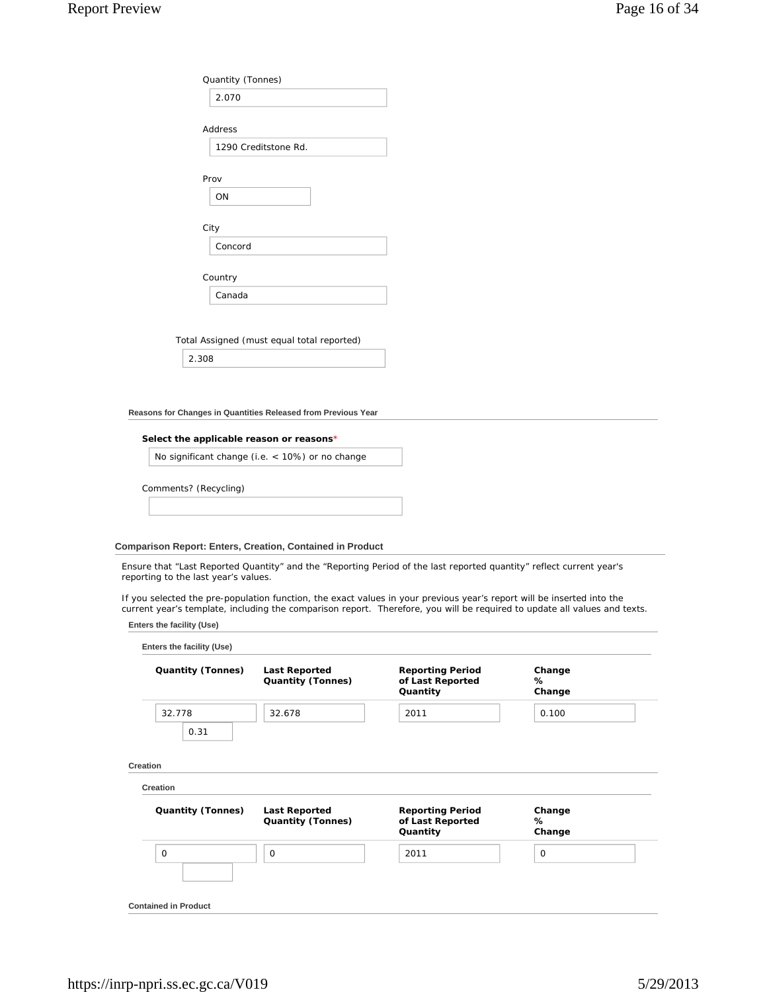| Quantity (Tonnes)    |
|----------------------|
| 2.070                |
|                      |
| Address              |
| 1290 Creditstone Rd. |
|                      |
| Prov                 |
| ON                   |
|                      |
| City                 |
| Concord              |
|                      |
| Country              |
| Canada               |
|                      |
|                      |

Total Assigned (must equal total reported)

2.308

**Reasons for Changes in Quantities Released from Previous Year**

## **Select the applicable reason or reasons**\*

No significant change (i.e. < 10%) or no change

Comments? (Recycling)

## **Comparison Report: Enters, Creation, Contained in Product**

Ensure that "Last Reported Quantity" and the "Reporting Period of the last reported quantity" reflect current year's reporting to the last year's values.

If you selected the pre-population function, the exact values in your previous year's report will be inserted into the current year's template, including the comparison report. Therefore, you will be required to update all values and texts.

|  |  | Enters the facility (Use) |  |
|--|--|---------------------------|--|
|--|--|---------------------------|--|

| Quantity (Tonnes) | <b>Last Reported</b><br><b>Quantity (Tonnes)</b> | <b>Reporting Period</b><br>of Last Reported<br>Quantity | Change<br>℅<br>Change |
|-------------------|--------------------------------------------------|---------------------------------------------------------|-----------------------|
| 32.778            | 32.678                                           | 2011                                                    | 0.100                 |
| 0.31              |                                                  |                                                         |                       |
| Creation          |                                                  |                                                         |                       |
| Quantity (Tonnes) | <b>Last Reported</b><br><b>Quantity (Tonnes)</b> | <b>Reporting Period</b><br>of Last Reported             | Change<br>℅           |
| 0                 | 0                                                | Quantity<br>2011                                        | Change<br>0           |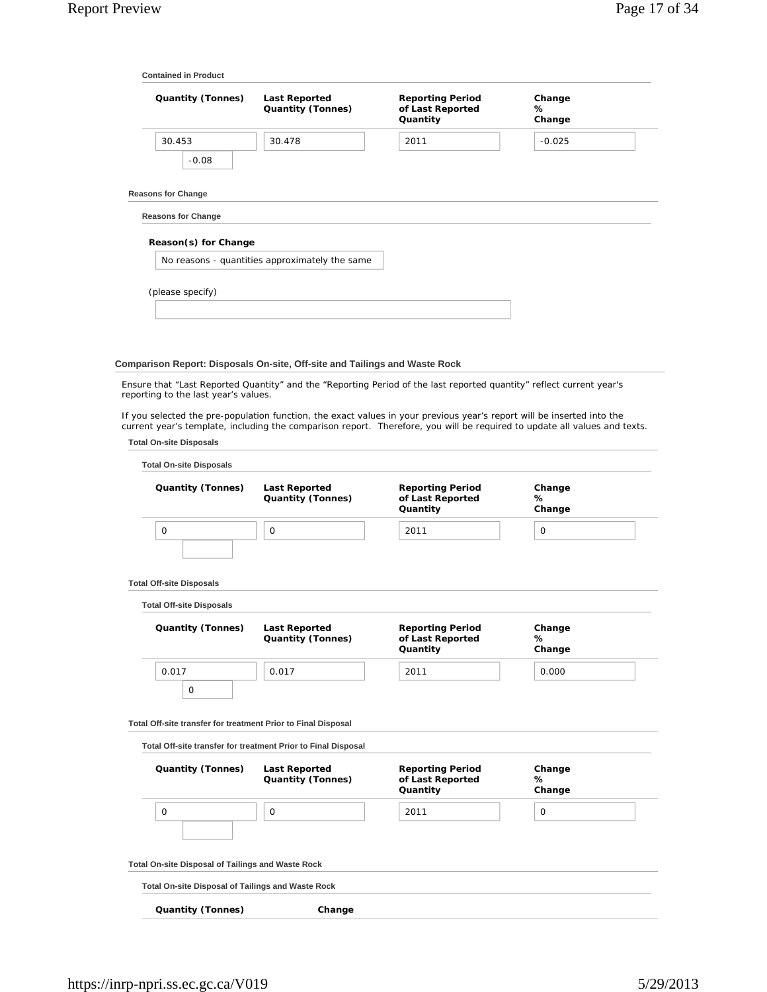|                                                               | <b>Last Reported</b><br><b>Quantity (Tonnes)</b>                           | <b>Reporting Period</b><br>of Last Reported<br>Quantity                                                                                                                                                                                             | Change<br>℅<br>Change |  |
|---------------------------------------------------------------|----------------------------------------------------------------------------|-----------------------------------------------------------------------------------------------------------------------------------------------------------------------------------------------------------------------------------------------------|-----------------------|--|
| 30.453                                                        | 30.478                                                                     | 2011                                                                                                                                                                                                                                                | $-0.025$              |  |
| $-0.08$                                                       |                                                                            |                                                                                                                                                                                                                                                     |                       |  |
| <b>Reasons for Change</b>                                     |                                                                            |                                                                                                                                                                                                                                                     |                       |  |
| <b>Reasons for Change</b>                                     |                                                                            |                                                                                                                                                                                                                                                     |                       |  |
| Reason(s) for Change                                          |                                                                            |                                                                                                                                                                                                                                                     |                       |  |
|                                                               | No reasons - quantities approximately the same                             |                                                                                                                                                                                                                                                     |                       |  |
| (please specify)                                              |                                                                            |                                                                                                                                                                                                                                                     |                       |  |
|                                                               |                                                                            |                                                                                                                                                                                                                                                     |                       |  |
|                                                               |                                                                            |                                                                                                                                                                                                                                                     |                       |  |
|                                                               |                                                                            |                                                                                                                                                                                                                                                     |                       |  |
|                                                               | Comparison Report: Disposals On-site, Off-site and Tailings and Waste Rock | Ensure that "Last Reported Quantity" and the "Reporting Period of the last reported quantity" reflect current year's                                                                                                                                |                       |  |
| reporting to the last year's values.                          |                                                                            |                                                                                                                                                                                                                                                     |                       |  |
|                                                               |                                                                            | If you selected the pre-population function, the exact values in your previous year's report will be inserted into the<br>current year's template, including the comparison report. Therefore, you will be required to update all values and texts. |                       |  |
| <b>Total On-site Disposals</b>                                |                                                                            |                                                                                                                                                                                                                                                     |                       |  |
| <b>Total On-site Disposals</b>                                |                                                                            |                                                                                                                                                                                                                                                     |                       |  |
|                                                               |                                                                            |                                                                                                                                                                                                                                                     |                       |  |
|                                                               |                                                                            |                                                                                                                                                                                                                                                     |                       |  |
| Quantity (Tonnes)                                             | <b>Last Reported</b><br><b>Quantity (Tonnes)</b>                           | <b>Reporting Period</b><br>of Last Reported<br>Quantity                                                                                                                                                                                             | Change<br>%<br>Change |  |
| 0                                                             | 0                                                                          | 2011                                                                                                                                                                                                                                                | 0                     |  |
|                                                               |                                                                            |                                                                                                                                                                                                                                                     |                       |  |
| <b>Total Off-site Disposals</b>                               |                                                                            |                                                                                                                                                                                                                                                     |                       |  |
| <b>Total Off-site Disposals</b>                               |                                                                            |                                                                                                                                                                                                                                                     |                       |  |
| <b>Quantity (Tonnes)</b>                                      | <b>Last Reported</b><br><b>Quantity (Tonnes)</b>                           | <b>Reporting Period</b><br>of Last Reported                                                                                                                                                                                                         | Change<br>℅           |  |
|                                                               |                                                                            | Quantity                                                                                                                                                                                                                                            | Change                |  |
| 0.017<br>0                                                    | 0.017                                                                      | 2011                                                                                                                                                                                                                                                | 0.000                 |  |
|                                                               |                                                                            |                                                                                                                                                                                                                                                     |                       |  |
| Total Off-site transfer for treatment Prior to Final Disposal | Total Off-site transfer for treatment Prior to Final Disposal              |                                                                                                                                                                                                                                                     |                       |  |
|                                                               |                                                                            |                                                                                                                                                                                                                                                     |                       |  |
| Quantity (Tonnes)                                             | <b>Last Reported</b><br><b>Quantity (Tonnes)</b>                           | <b>Reporting Period</b><br>of Last Reported<br>Quantity                                                                                                                                                                                             | Change<br>%<br>Change |  |
| 0                                                             | 0                                                                          | 2011                                                                                                                                                                                                                                                | 0                     |  |
|                                                               |                                                                            |                                                                                                                                                                                                                                                     |                       |  |
| Total On-site Disposal of Tailings and Waste Rock             |                                                                            |                                                                                                                                                                                                                                                     |                       |  |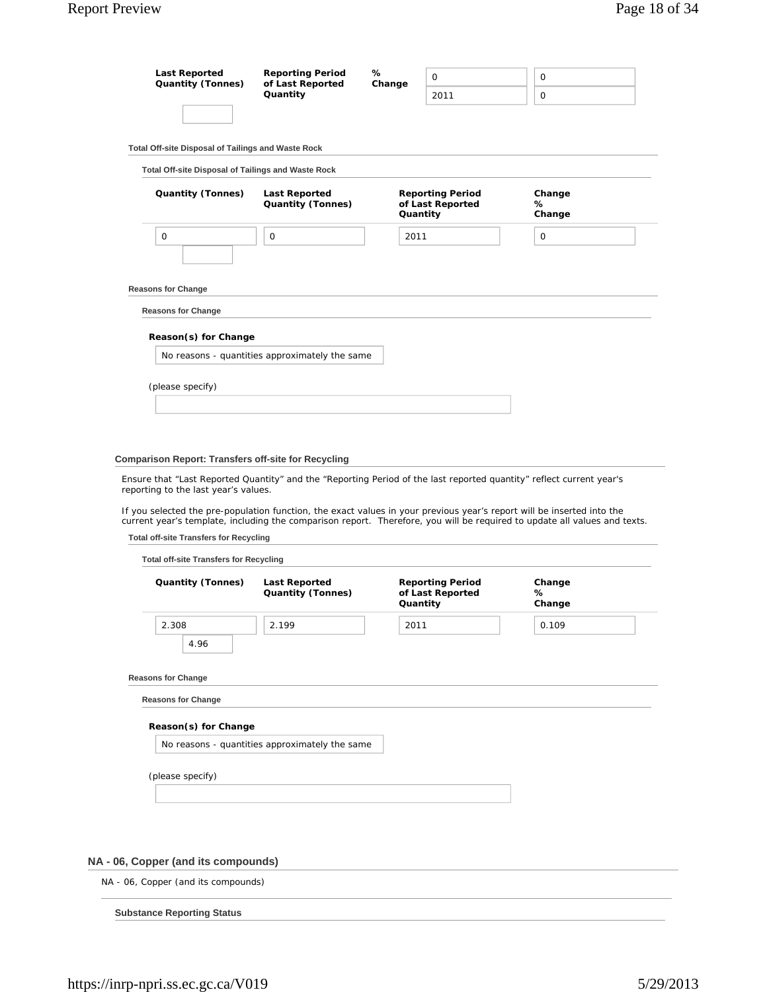| <b>Last Reported</b><br><b>Quantity (Tonnes)</b>       | <b>Reporting Period</b><br>of Last Reported<br>Quantity | %<br>Change | $\Omega$<br>2011                            | 0<br>0                |  |
|--------------------------------------------------------|---------------------------------------------------------|-------------|---------------------------------------------|-----------------------|--|
|                                                        |                                                         |             |                                             |                       |  |
| Total Off-site Disposal of Tailings and Waste Rock     |                                                         |             |                                             |                       |  |
| Total Off-site Disposal of Tailings and Waste Rock     |                                                         |             |                                             |                       |  |
| <b>Quantity (Tonnes)</b>                               | <b>Last Reported</b><br><b>Quantity (Tonnes)</b>        | Quantity    | <b>Reporting Period</b><br>of Last Reported | Change<br>℅<br>Change |  |
| $\mathbf 0$                                            | $\mathbf 0$                                             | 2011        |                                             | $\mathbf 0$           |  |
| <b>Reasons for Change</b><br><b>Reasons for Change</b> |                                                         |             |                                             |                       |  |
| Reason(s) for Change                                   |                                                         |             |                                             |                       |  |
|                                                        | No reasons - quantities approximately the same          |             |                                             |                       |  |
| (please specify)                                       |                                                         |             |                                             |                       |  |
|                                                        |                                                         |             |                                             |                       |  |
|                                                        |                                                         |             |                                             |                       |  |
|                                                        |                                                         |             |                                             |                       |  |

#### **Comparison Report: Transfers off-site for Recycling**

Ensure that "Last Reported Quantity" and the "Reporting Period of the last reported quantity" reflect current year's reporting to the last year's values.

If you selected the pre-population function, the exact values in your previous year's report will be inserted into the current year's template, including the comparison report. Therefore, you will be required to update all values and texts.

**Total off-site Transfers for Recycling**

| <b>Quantity (Tonnes)</b> | <b>Last Reported</b><br><b>Quantity (Tonnes)</b> | <b>Reporting Period</b><br>of Last Reported<br>Quantity | Change<br>℅<br>Change |
|--------------------------|--------------------------------------------------|---------------------------------------------------------|-----------------------|
| 2.308                    | 2.199                                            | 2011                                                    | 0.109                 |
| 4.96                     |                                                  |                                                         |                       |
| Reason(s) for Change     | No reasons - quantities approximately the same   |                                                         |                       |
|                          |                                                  |                                                         |                       |
| (please specify)         |                                                  |                                                         |                       |

# **NA - 06, Copper (and its compounds)**

NA - 06, Copper (and its compounds)

**Substance Reporting Status**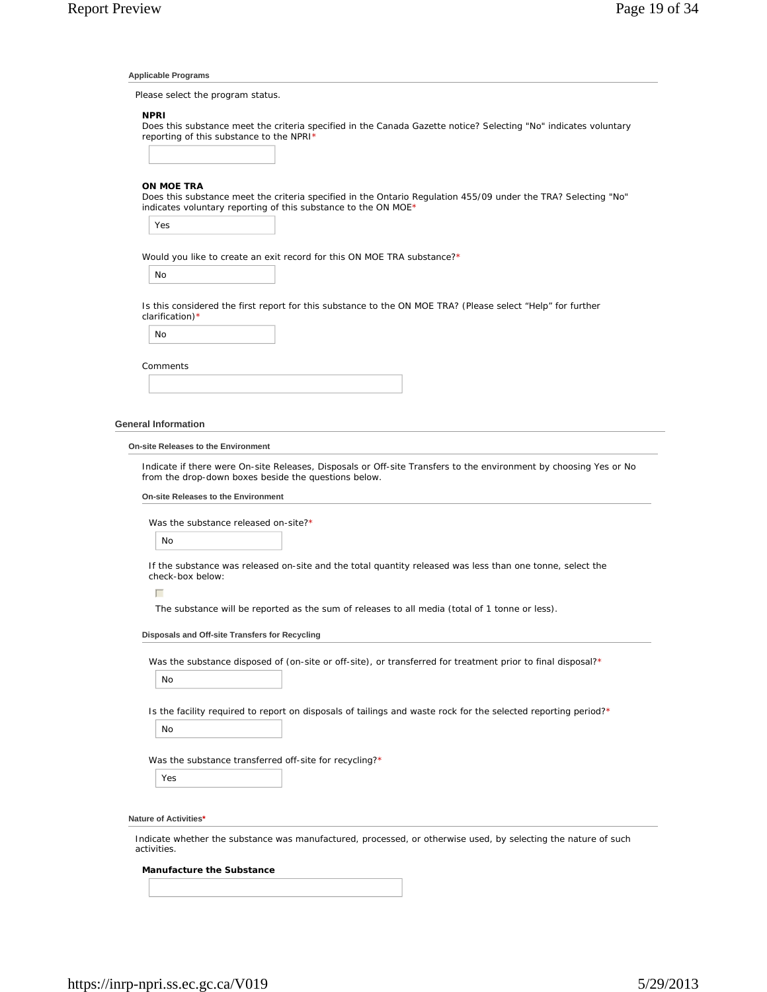#### **Applicable Programs**

Please select the program status.

## **NPRI**

Does this substance meet the criteria specified in the Canada Gazette notice? Selecting "No" indicates voluntary reporting of this substance to the NPRI\*

#### **ON MOE TRA**

Does this substance meet the criteria specified in the Ontario Regulation 455/09 under the TRA? Selecting "No" indicates voluntary reporting of this substance to the ON MOE\*

Yes

Would you like to create an exit record for this ON MOE TRA substance?\*

No

Is this considered the first report for this substance to the ON MOE TRA? (Please select "Help" for further clarification)\*

No

| Comments |  |  |  |
|----------|--|--|--|
|          |  |  |  |

#### **General Information**

#### **On-site Releases to the Environment**

Indicate if there were On-site Releases, Disposals or Off-site Transfers to the environment by choosing Yes or No from the drop-down boxes beside the questions below.

#### **On-site Releases to the Environment**

Was the substance released on-site?\*

No

If the substance was released on-site and the total quantity released was less than one tonne, select the check-box below:

 $\Box$ 

The substance will be reported as the sum of releases to all media (total of 1 tonne or less).

#### **Disposals and Off-site Transfers for Recycling**

Was the substance disposed of (on-site or off-site), or transferred for treatment prior to final disposal?\*

No

Is the facility required to report on disposals of tailings and waste rock for the selected reporting period?\*

No

Was the substance transferred off-site for recycling?\*

Yes

#### **Nature of Activities\***

Indicate whether the substance was manufactured, processed, or otherwise used, by selecting the nature of such activities.

## **Manufacture the Substance**

https://inrp-npri.ss.ec.gc.ca/V019 5/29/2013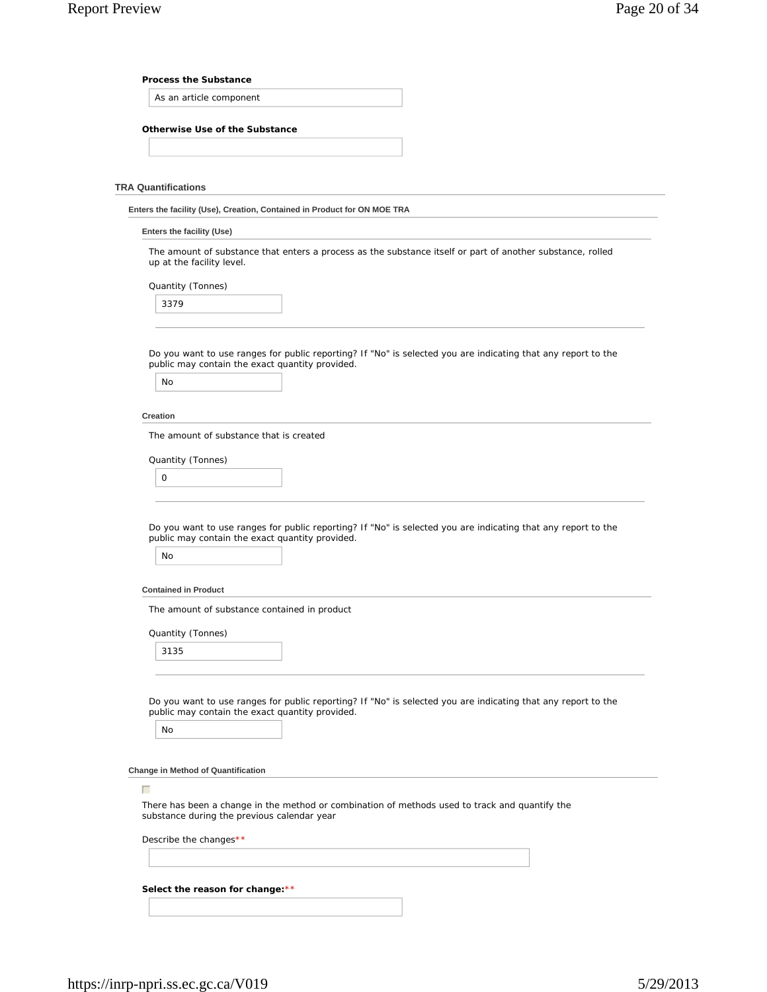#### **Process the Substance**

As an article component

## **Otherwise Use of the Substance**

#### **TRA Quantifications**

| Enters the facility (Use), Creation, Contained in Product for ON MOE TRA |  |  |  |  |
|--------------------------------------------------------------------------|--|--|--|--|
|                                                                          |  |  |  |  |

#### **Enters the facility (Use)**

The amount of substance that enters a process as the substance itself or part of another substance, rolled up at the facility level.

Quantity (Tonnes)

Do you want to use ranges for public reporting? If "No" is selected you are indicating that any report to the public may contain the exact quantity provided.

| No |  |
|----|--|
|----|--|

#### **Creation**

The amount of substance that is created

Quantity (Tonnes)

| $\sim$ |  |  |
|--------|--|--|
|        |  |  |

Do you want to use ranges for public reporting? If "No" is selected you are indicating that any report to the public may contain the exact quantity provided.

## **Contained in Product**

The amount of substance contained in product

Quantity (Tonnes)

3135

Do you want to use ranges for public reporting? If "No" is selected you are indicating that any report to the public may contain the exact quantity provided.

No

 $\Box$ 

**Change in Method of Quantification**

There has been a change in the method or combination of methods used to track and quantify the substance during the previous calendar year

Describe the changes\*\*

**Select the reason for change:**\*\*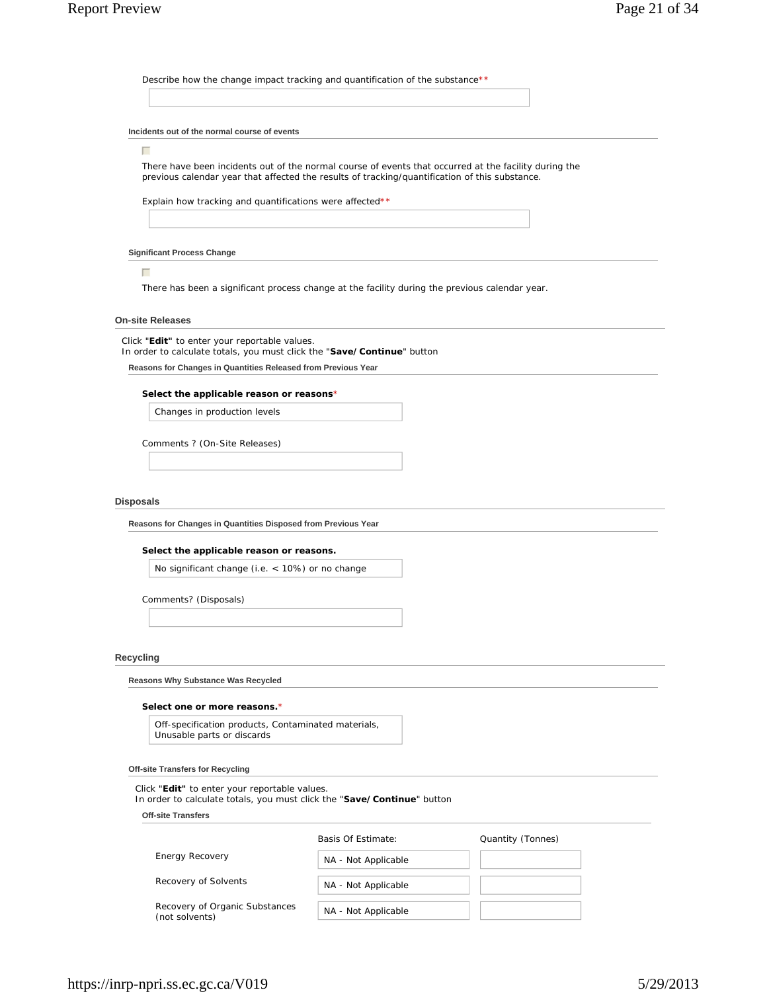Describe how the change impact tracking and quantification of the substance\*\*

#### **Incidents out of the normal course of events**

#### $\Box$

There have been incidents out of the normal course of events that occurred at the facility during the previous calendar year that affected the results of tracking/quantification of this substance.

Explain how tracking and quantifications were affected\*\*

#### **Significant Process Change**

 $\Box$ 

There has been a significant process change at the facility during the previous calendar year.

### **On-site Releases**

Click "**Edit"** to enter your reportable values.

In order to calculate totals, you must click the "**Save/Continue**" button

**Reasons for Changes in Quantities Released from Previous Year**

#### **Select the applicable reason or reasons**\*

Changes in production levels

Comments ? (On-Site Releases)

#### **Disposals**

**Reasons for Changes in Quantities Disposed from Previous Year**

#### **Select the applicable reason or reasons.**

No significant change (i.e. < 10%) or no change

Comments? (Disposals)

## **Recycling**

**Reasons Why Substance Was Recycled**

#### **Select one or more reasons.**\*

Off-specification products, Contaminated materials, Unusable parts or discards

#### **Off-site Transfers for Recycling**

Click "**Edit"** to enter your reportable values.

In order to calculate totals, you must click the "**Save/Continue**" button

**Off-site Transfers**

|                                                  | Basis Of Estimate:  | Quantity (Tonnes) |
|--------------------------------------------------|---------------------|-------------------|
| <b>Energy Recovery</b>                           | NA - Not Applicable |                   |
| Recovery of Solvents                             | NA - Not Applicable |                   |
| Recovery of Organic Substances<br>(not solvents) | NA - Not Applicable |                   |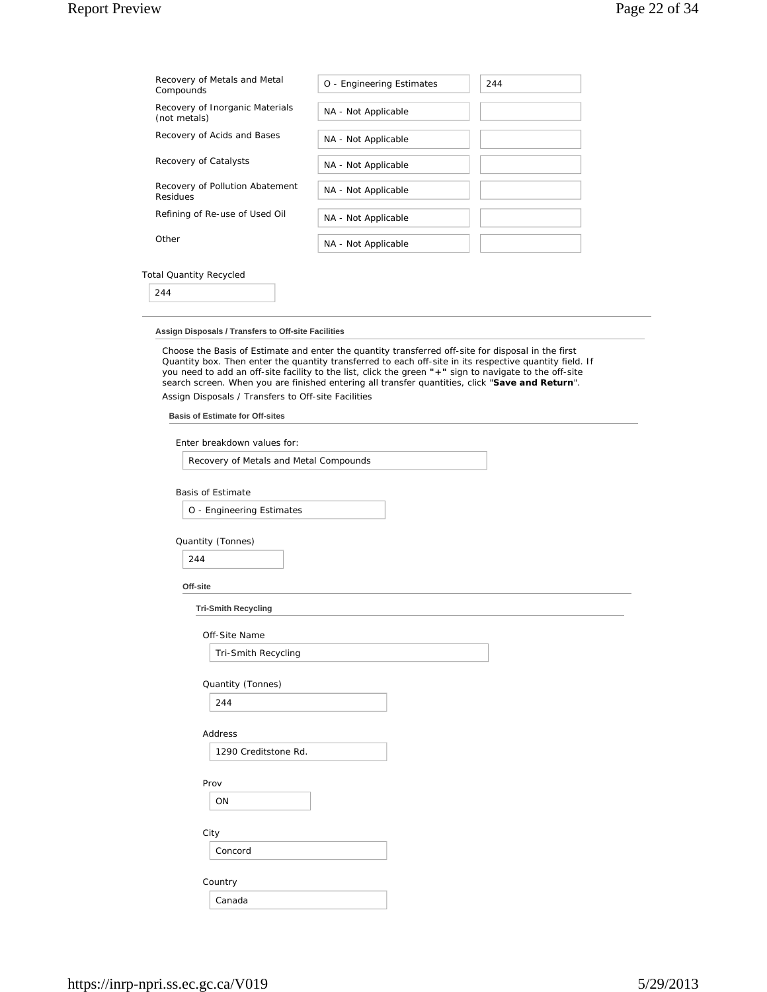# Report Preview Page 22 of 34

| Recovery of Metals and Metal<br>Compounds       | O - Engineering Estimates | 244 |
|-------------------------------------------------|---------------------------|-----|
| Recovery of Inorganic Materials<br>(not metals) | NA - Not Applicable       |     |
| Recovery of Acids and Bases                     | NA - Not Applicable       |     |
| Recovery of Catalysts                           | NA - Not Applicable       |     |
| Recovery of Pollution Abatement<br>Residues     | NA - Not Applicable       |     |
| Refining of Re-use of Used Oil                  | NA - Not Applicable       |     |
| Other                                           | NA - Not Applicable       |     |

# Total Quantity Recycled

244

## **Assign Disposals / Transfers to Off-site Facilities**

Choose the Basis of Estimate and enter the quantity transferred off-site for disposal in the first Quantity box. Then enter the quantity transferred to each off-site in its respective quantity field. If you need to add an off-site facility to the list, click the green **"+"** sign to navigate to the off-site search screen. When you are finished entering all transfer quantities, click "**Save and Return**". Assign Disposals / Transfers to Off-site Facilities

#### **Basis of Estimate for Off-sites**

Enter breakdown values for:

Recovery of Metals and Metal Compounds

Basis of Estimate

O - Engineering Estimates

## Quantity (Tonnes)

| 244 |  |  |
|-----|--|--|

#### **Off-site**

**Tri-Smith Recycling**

Tri-Smith Recycling

Quantity (Tonnes)

## Address

1290 Creditstone Rd.

Prov

ON

City

Concord

Country

|  | Canada<br>. |  |  |  |  |
|--|-------------|--|--|--|--|
|--|-------------|--|--|--|--|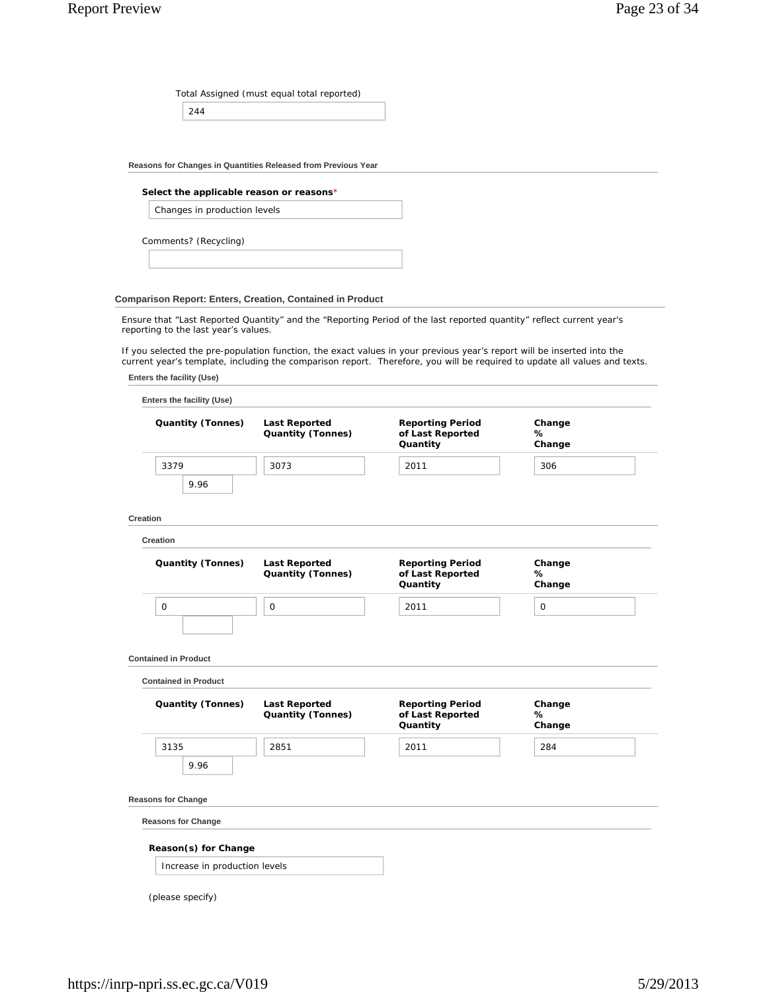Total Assigned (must equal total reported)

244

**Reasons for Changes in Quantities Released from Previous Year**

## **Select the applicable reason or reasons**\*

Changes in production levels

Comments? (Recycling)

## **Comparison Report: Enters, Creation, Contained in Product**

Ensure that "Last Reported Quantity" and the "Reporting Period of the last reported quantity" reflect current year's reporting to the last year's values.

If you selected the pre-population function, the exact values in your previous year's report will be inserted into the current year's template, including the comparison report. Therefore, you will be required to update all values and texts.

|  |  | Enters the facility (Use) |  |  |
|--|--|---------------------------|--|--|
|--|--|---------------------------|--|--|

| <b>Quantity (Tonnes)</b>                                | <b>Last Reported</b><br><b>Quantity (Tonnes)</b> | <b>Reporting Period</b><br>of Last Reported<br>Quantity | Change<br>%<br>Change |
|---------------------------------------------------------|--------------------------------------------------|---------------------------------------------------------|-----------------------|
| 3379                                                    | 3073                                             | 2011                                                    | 306                   |
| 9.96                                                    |                                                  |                                                         |                       |
| <b>Creation</b>                                         |                                                  |                                                         |                       |
| Creation                                                |                                                  |                                                         |                       |
| <b>Quantity (Tonnes)</b>                                | <b>Last Reported</b><br>Quantity (Tonnes)        | <b>Reporting Period</b><br>of Last Reported<br>Quantity | Change<br>℅<br>Change |
| 0                                                       | 0                                                | 2011                                                    | 0                     |
| <b>Contained in Product</b>                             |                                                  |                                                         |                       |
| <b>Contained in Product</b><br><b>Quantity (Tonnes)</b> | <b>Last Reported</b><br><b>Quantity (Tonnes)</b> | <b>Reporting Period</b><br>of Last Reported<br>Quantity | Change<br>%<br>Change |
| 3135                                                    | 2851                                             | 2011                                                    | 284                   |
| 9.96                                                    |                                                  |                                                         |                       |
| <b>Reasons for Change</b>                               |                                                  |                                                         |                       |
| <b>Reasons for Change</b>                               |                                                  |                                                         |                       |
| Reason(s) for Change                                    |                                                  |                                                         |                       |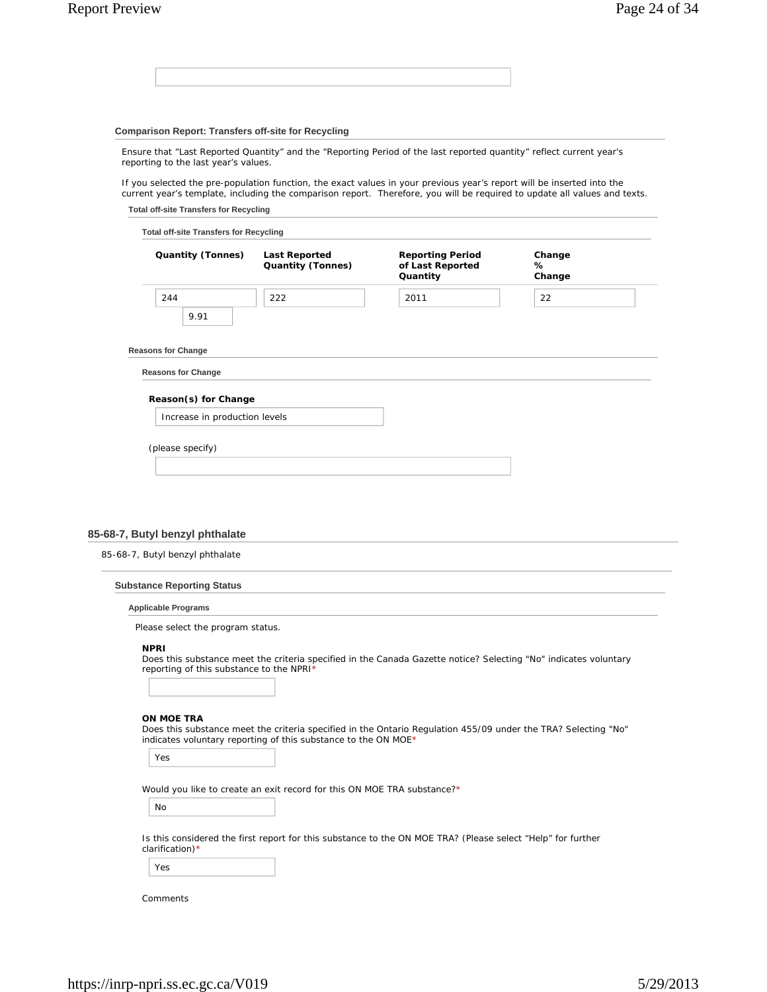## **Comparison Report: Transfers off-site for Recycling**

Ensure that "Last Reported Quantity" and the "Reporting Period of the last reported quantity" reflect current year's reporting to the last year's values.

If you selected the pre-population function, the exact values in your previous year's report will be inserted into the current year's template, including the comparison report. Therefore, you will be required to update all values and texts.

**Total off-site Transfers for Recycling**

| <b>Quantity (Tonnes)</b>      | <b>Last Reported</b><br><b>Quantity (Tonnes)</b> | <b>Reporting Period</b><br>of Last Reported<br>Quantity | Change<br>℅<br>Change |
|-------------------------------|--------------------------------------------------|---------------------------------------------------------|-----------------------|
| 244<br>9.91                   | 222                                              | 2011                                                    | 22                    |
| <b>Reasons for Change</b>     |                                                  |                                                         |                       |
| <b>Reasons for Change</b>     |                                                  |                                                         |                       |
| Reason(s) for Change          |                                                  |                                                         |                       |
| Increase in production levels |                                                  |                                                         |                       |
| (please specify)              |                                                  |                                                         |                       |

#### **85-68-7, Butyl benzyl phthalate**

| 85-68-7, Butyl benzyl phthalate |  |
|---------------------------------|--|
|---------------------------------|--|

| <b>Substance Reporting Status</b> |  |  |
|-----------------------------------|--|--|
|-----------------------------------|--|--|

#### **Applicable Programs**

Please select the program status.

#### **NPRI**

Does this substance meet the criteria specified in the Canada Gazette notice? Selecting "No" indicates voluntary reporting of this substance to the NPRI\*

#### **ON MOE TRA**

Does this substance meet the criteria specified in the Ontario Regulation 455/09 under the TRA? Selecting "No" indicates voluntary reporting of this substance to the ON MOE\*

Yes

Would you like to create an exit record for this ON MOE TRA substance?\*

No

Is this considered the first report for this substance to the ON MOE TRA? (Please select "Help" for further clarification)\*

Yes

Comments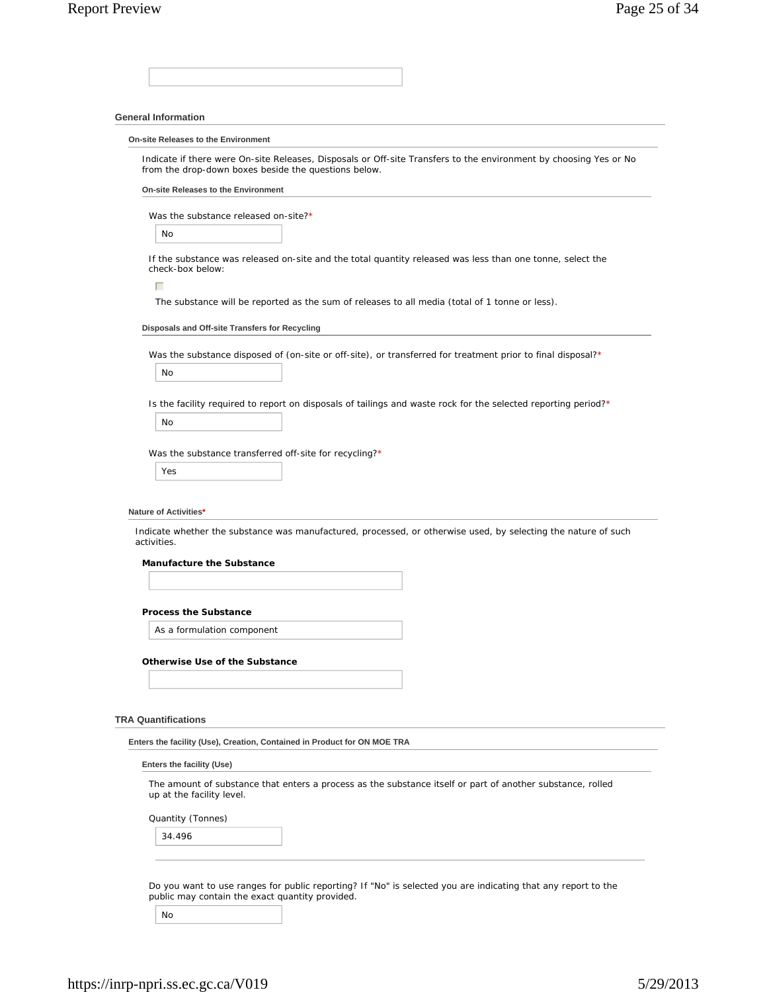## **General Information**

**On-site Releases to the Environment**

Indicate if there were On-site Releases, Disposals or Off-site Transfers to the environment by choosing Yes or No from the drop-down boxes beside the questions below.

**On-site Releases to the Environment**

Was the substance released on-site?\*

No

If the substance was released on-site and the total quantity released was less than one tonne, select the check-box below:

 $\Box$ 

The substance will be reported as the sum of releases to all media (total of 1 tonne or less).

#### **Disposals and Off-site Transfers for Recycling**

Was the substance disposed of (on-site or off-site), or transferred for treatment prior to final disposal?\*

No

Is the facility required to report on disposals of tailings and waste rock for the selected reporting period?\*

No

Was the substance transferred off-site for recycling?\*

Yes

#### **Nature of Activities\***

Indicate whether the substance was manufactured, processed, or otherwise used, by selecting the nature of such activities.

**Manufacture the Substance**

### **Process the Substance**

As a formulation component

#### **Otherwise Use of the Substance**

#### **TRA Quantifications**

**Enters the facility (Use), Creation, Contained in Product for ON MOE TRA**

#### **Enters the facility (Use)**

The amount of substance that enters a process as the substance itself or part of another substance, rolled up at the facility level.

Quantity (Tonnes)

34.496

Do you want to use ranges for public reporting? If "No" is selected you are indicating that any report to the public may contain the exact quantity provided.

No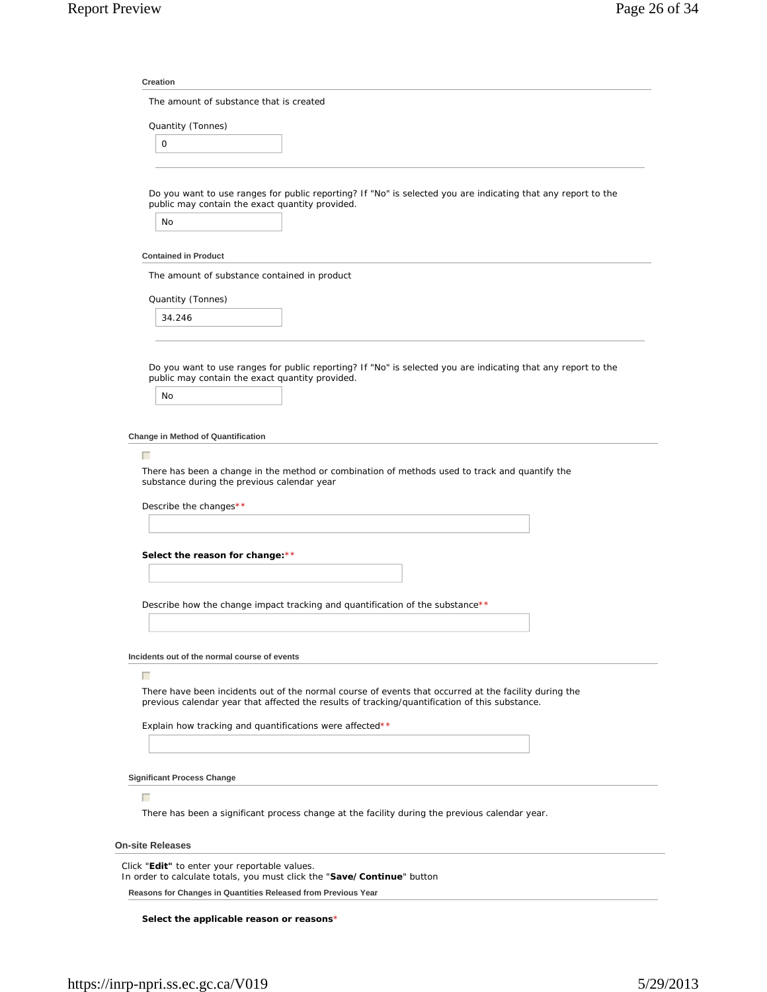| <b>Creation</b>         |                                                                                                                                                                                                         |
|-------------------------|---------------------------------------------------------------------------------------------------------------------------------------------------------------------------------------------------------|
|                         | The amount of substance that is created                                                                                                                                                                 |
|                         | Quantity (Tonnes)                                                                                                                                                                                       |
| 0                       |                                                                                                                                                                                                         |
|                         |                                                                                                                                                                                                         |
| No                      | Do you want to use ranges for public reporting? If "No" is selected you are indicating that any report to the<br>public may contain the exact quantity provided.                                        |
|                         |                                                                                                                                                                                                         |
|                         | <b>Contained in Product</b>                                                                                                                                                                             |
|                         | The amount of substance contained in product                                                                                                                                                            |
|                         | Quantity (Tonnes)                                                                                                                                                                                       |
|                         | 34.246                                                                                                                                                                                                  |
|                         |                                                                                                                                                                                                         |
|                         | Do you want to use ranges for public reporting? If "No" is selected you are indicating that any report to the<br>public may contain the exact quantity provided.                                        |
| No                      |                                                                                                                                                                                                         |
|                         | There has been a change in the method or combination of methods used to track and quantify the<br>substance during the previous calendar year<br>Describe the changes**                                 |
|                         |                                                                                                                                                                                                         |
|                         |                                                                                                                                                                                                         |
|                         | Select the reason for change: **                                                                                                                                                                        |
|                         |                                                                                                                                                                                                         |
|                         | Describe how the change impact tracking and quantification of the substance**                                                                                                                           |
|                         |                                                                                                                                                                                                         |
|                         |                                                                                                                                                                                                         |
|                         | Incidents out of the normal course of events                                                                                                                                                            |
| г                       |                                                                                                                                                                                                         |
|                         | There have been incidents out of the normal course of events that occurred at the facility during the<br>previous calendar year that affected the results of tracking/quantification of this substance. |
|                         | Explain how tracking and quantifications were affected**                                                                                                                                                |
|                         |                                                                                                                                                                                                         |
|                         |                                                                                                                                                                                                         |
|                         | <b>Significant Process Change</b>                                                                                                                                                                       |
| Г                       |                                                                                                                                                                                                         |
|                         | There has been a significant process change at the facility during the previous calendar year.                                                                                                          |
| <b>On-site Releases</b> |                                                                                                                                                                                                         |
|                         |                                                                                                                                                                                                         |
|                         | Click "Edit" to enter your reportable values.<br>In order to calculate totals, you must click the "Save/Continue" button                                                                                |
|                         | Reasons for Changes in Quantities Released from Previous Year                                                                                                                                           |

**Select the applicable reason or reasons**\*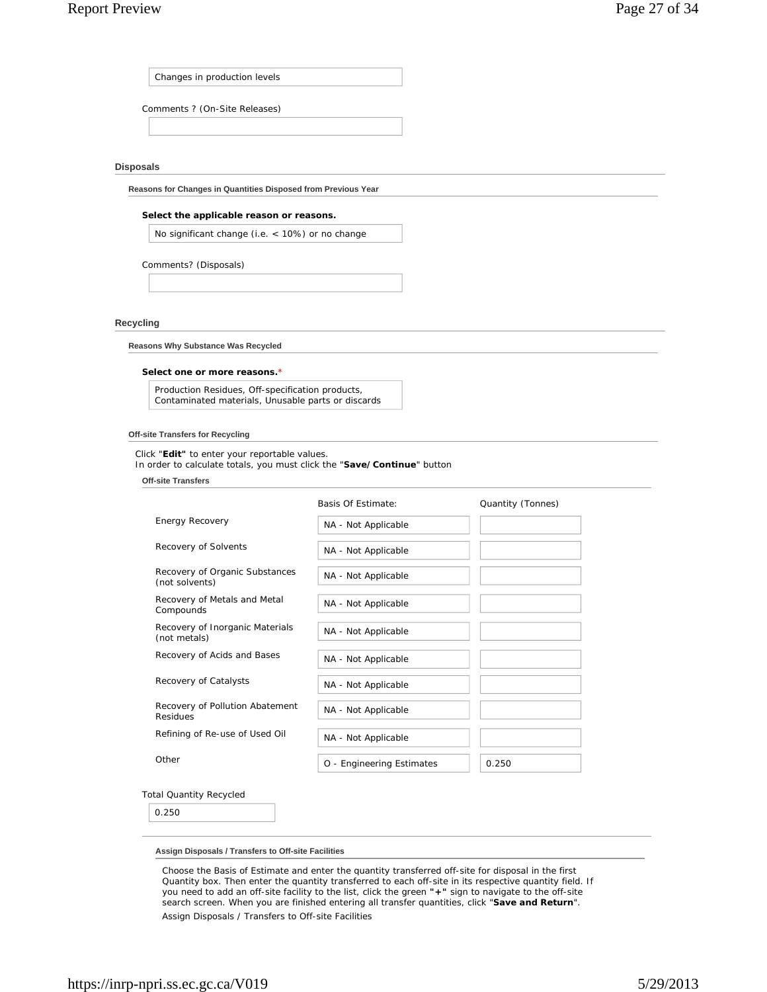Changes in production levels

Comments ? (On-Site Releases)

#### **Disposals**

**Reasons for Changes in Quantities Disposed from Previous Year**

#### **Select the applicable reason or reasons.**

No significant change (i.e. < 10%) or no change

Comments? (Disposals)

## **Recycling**

**Reasons Why Substance Was Recycled**

#### **Select one or more reasons.**\*

Production Residues, Off-specification products, Contaminated materials, Unusable parts or discards

#### **Off-site Transfers for Recycling**

Click "**Edit"** to enter your reportable values.

In order to calculate totals, you must click the "**Save/Continue**" button

**Off-site Transfers**

|                                                  | Basis Of Estimate:        | Quantity (Tonnes) |
|--------------------------------------------------|---------------------------|-------------------|
| Energy Recovery                                  | NA - Not Applicable       |                   |
| Recovery of Solvents                             | NA - Not Applicable       |                   |
| Recovery of Organic Substances<br>(not solvents) | NA - Not Applicable       |                   |
| Recovery of Metals and Metal<br>Compounds        | NA - Not Applicable       |                   |
| Recovery of Inorganic Materials<br>(not metals)  | NA - Not Applicable       |                   |
| Recovery of Acids and Bases                      | NA - Not Applicable       |                   |
| Recovery of Catalysts                            | NA - Not Applicable       |                   |
| Recovery of Pollution Abatement<br>Residues      | NA - Not Applicable       |                   |
| Refining of Re-use of Used Oil                   | NA - Not Applicable       |                   |
| Other                                            | O - Engineering Estimates | 0.250             |

#### Total Quantity Recycled

0.250

#### **Assign Disposals / Transfers to Off-site Facilities**

Choose the Basis of Estimate and enter the quantity transferred off-site for disposal in the first Quantity box. Then enter the quantity transferred to each off-site in its respective quantity field. If you need to add an off-site facility to the list, click the green **"+"** sign to navigate to the off-site search screen. When you are finished entering all transfer quantities, click "**Save and Return**".

Assign Disposals / Transfers to Off-site Facilities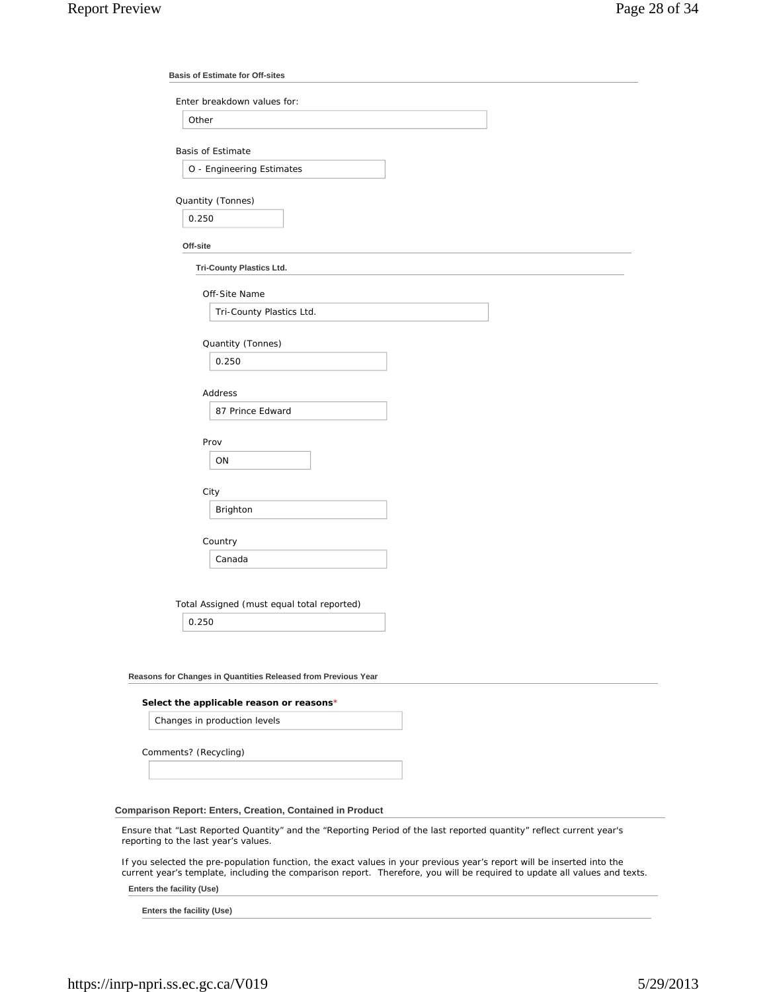|          | Enter breakdown values for:                |
|----------|--------------------------------------------|
|          | Other                                      |
|          | <b>Basis of Estimate</b>                   |
|          | O - Engineering Estimates                  |
|          |                                            |
|          | Quantity (Tonnes)                          |
|          | 0.250                                      |
| Off-site |                                            |
|          | <b>Tri-County Plastics Ltd.</b>            |
|          |                                            |
|          | Off-Site Name                              |
|          | Tri-County Plastics Ltd.                   |
|          |                                            |
|          | Quantity (Tonnes)                          |
|          | 0.250                                      |
|          | <b>Address</b>                             |
|          | 87 Prince Edward                           |
|          |                                            |
|          | Prov                                       |
|          | ON                                         |
|          |                                            |
|          | City                                       |
|          | Brighton                                   |
|          |                                            |
|          | Country<br>Canada                          |
|          |                                            |
|          |                                            |
|          | Total Assigned (must equal total reported) |
|          | 0.250                                      |

# **Reasons for Changes in Quantities Released from Previous Year**

#### **Select the applicable reason or reasons**\*

Changes in production levels

Comments? (Recycling)

### **Comparison Report: Enters, Creation, Contained in Product**

Ensure that "Last Reported Quantity" and the "Reporting Period of the last reported quantity" reflect current year's reporting to the last year's values.

If you selected the pre-population function, the exact values in your previous year's report will be inserted into the current year's template, including the comparison report. Therefore, you will be required to update all values and texts.

**Enters the facility (Use)**

**Enters the facility (Use)**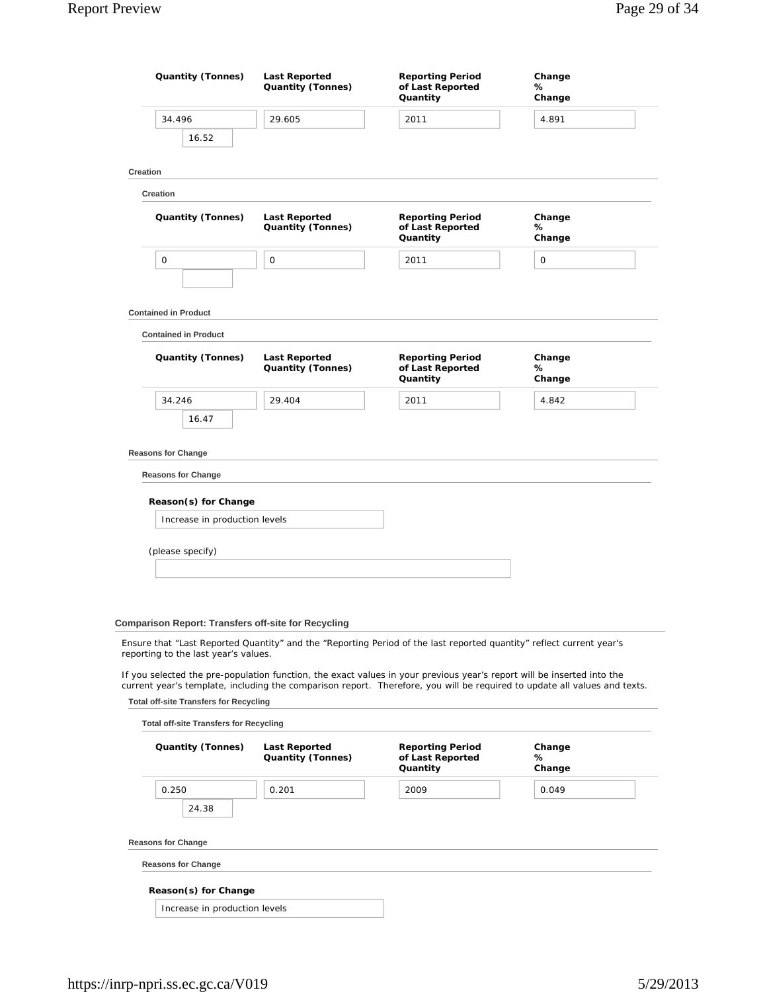| <b>Quantity (Tonnes)</b>                                                                                        | <b>Last Reported</b><br><b>Quantity (Tonnes)</b> | <b>Reporting Period</b><br>of Last Reported<br>Quantity                                                                | Change<br>℅<br>Change                                                                                                     |
|-----------------------------------------------------------------------------------------------------------------|--------------------------------------------------|------------------------------------------------------------------------------------------------------------------------|---------------------------------------------------------------------------------------------------------------------------|
| 34.496<br>16.52                                                                                                 | 29.605                                           | 2011                                                                                                                   | 4.891                                                                                                                     |
| Creation                                                                                                        |                                                  |                                                                                                                        |                                                                                                                           |
| Creation                                                                                                        |                                                  |                                                                                                                        |                                                                                                                           |
| Quantity (Tonnes)                                                                                               | <b>Last Reported</b><br><b>Quantity (Tonnes)</b> | <b>Reporting Period</b><br>of Last Reported<br>Quantity                                                                | Change<br>℅<br>Change                                                                                                     |
| 0                                                                                                               | $\mathbf 0$                                      | 2011                                                                                                                   | 0                                                                                                                         |
| <b>Contained in Product</b>                                                                                     |                                                  |                                                                                                                        |                                                                                                                           |
| <b>Contained in Product</b>                                                                                     |                                                  |                                                                                                                        |                                                                                                                           |
| Quantity (Tonnes)                                                                                               | <b>Last Reported</b><br><b>Quantity (Tonnes)</b> | <b>Reporting Period</b><br>of Last Reported<br>Quantity                                                                | Change<br>℅<br>Change                                                                                                     |
| 34.246                                                                                                          | 29.404                                           | 2011                                                                                                                   | 4.842                                                                                                                     |
| <b>Reasons for Change</b><br><b>Reasons for Change</b><br>Reason(s) for Change<br>Increase in production levels |                                                  |                                                                                                                        |                                                                                                                           |
|                                                                                                                 |                                                  |                                                                                                                        |                                                                                                                           |
| (please specify)                                                                                                |                                                  |                                                                                                                        |                                                                                                                           |
| <b>Comparison Report: Transfers off-site for Recycling</b>                                                      |                                                  |                                                                                                                        |                                                                                                                           |
| reporting to the last year's values.                                                                            |                                                  | Ensure that "Last Reported Quantity" and the "Reporting Period of the last reported quantity" reflect current year's   |                                                                                                                           |
|                                                                                                                 |                                                  | If you selected the pre-population function, the exact values in your previous year's report will be inserted into the | current year's template, including the comparison report. Therefore, you will be required to update all values and texts. |
| <b>Total off-site Transfers for Recycling</b>                                                                   |                                                  |                                                                                                                        |                                                                                                                           |
| <b>Total off-site Transfers for Recycling</b>                                                                   |                                                  |                                                                                                                        |                                                                                                                           |
| <b>Quantity (Tonnes)</b>                                                                                        | <b>Last Reported</b><br><b>Quantity (Tonnes)</b> | <b>Reporting Period</b><br>of Last Reported<br>Quantity                                                                | Change<br>℅<br>Change                                                                                                     |
| 0.250                                                                                                           | 0.201                                            | 2009                                                                                                                   | 0.049                                                                                                                     |
| 24.38                                                                                                           |                                                  |                                                                                                                        |                                                                                                                           |

**Reasons for Change**

**Reasons for Change**

**Reason(s) for Change**

Increase in production levels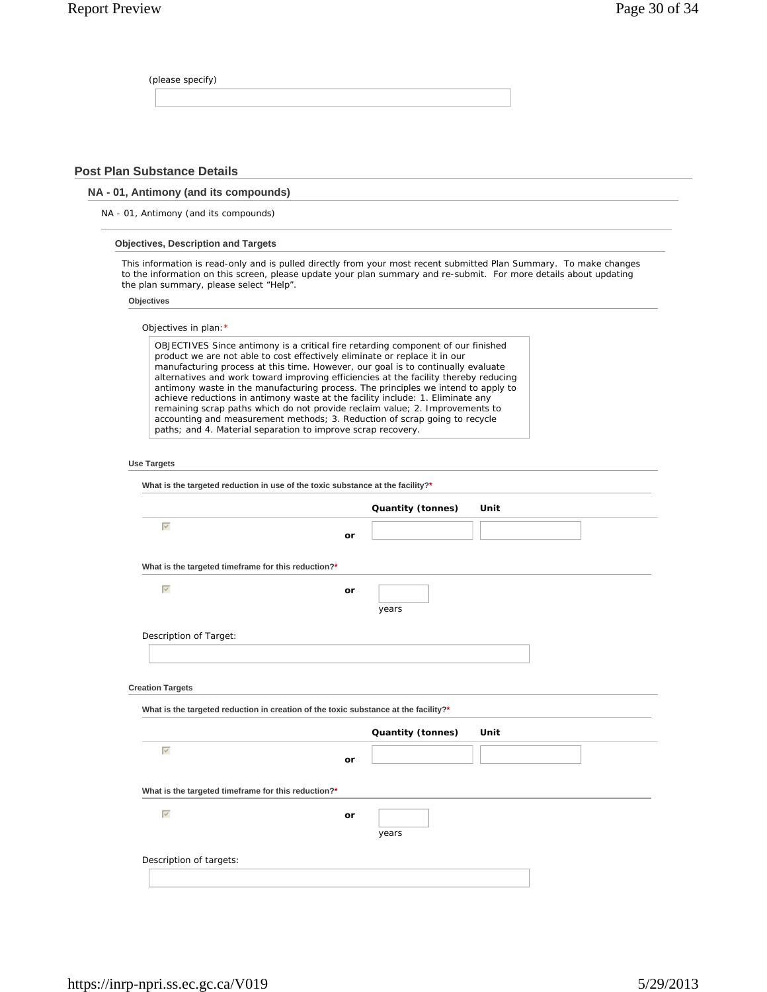(please specify)

# **Post Plan Substance Details**

# **NA - 01, Antimony (and its compounds)**

NA - 01, Antimony (and its compounds)

## **Objectives, Description and Targets**

This information is read-only and is pulled directly from your most recent submitted Plan Summary. To make changes to the information on this screen, please update your plan summary and re-submit. For more details about updating the plan summary, please select "Help".

## **Objectives**

|                                                                          | OBJECTIVES Since antimony is a critical fire retarding component of our finished                                                                                                                                                                                                                                                                                                                                                                                                                                                                                                                                                                            |                   |      |
|--------------------------------------------------------------------------|-------------------------------------------------------------------------------------------------------------------------------------------------------------------------------------------------------------------------------------------------------------------------------------------------------------------------------------------------------------------------------------------------------------------------------------------------------------------------------------------------------------------------------------------------------------------------------------------------------------------------------------------------------------|-------------------|------|
|                                                                          | product we are not able to cost effectively eliminate or replace it in our<br>manufacturing process at this time. However, our goal is to continually evaluate<br>alternatives and work toward improving efficiencies at the facility thereby reducing<br>antimony waste in the manufacturing process. The principles we intend to apply to<br>achieve reductions in antimony waste at the facility include: 1. Eliminate any<br>remaining scrap paths which do not provide reclaim value; 2. Improvements to<br>accounting and measurement methods; 3. Reduction of scrap going to recycle<br>paths; and 4. Material separation to improve scrap recovery. |                   |      |
| <b>Use Targets</b>                                                       |                                                                                                                                                                                                                                                                                                                                                                                                                                                                                                                                                                                                                                                             |                   |      |
|                                                                          | What is the targeted reduction in use of the toxic substance at the facility?*                                                                                                                                                                                                                                                                                                                                                                                                                                                                                                                                                                              |                   |      |
|                                                                          |                                                                                                                                                                                                                                                                                                                                                                                                                                                                                                                                                                                                                                                             | Quantity (tonnes) | Unit |
| $\overline{\vee}$                                                        | or                                                                                                                                                                                                                                                                                                                                                                                                                                                                                                                                                                                                                                                          |                   |      |
| What is the targeted timeframe for this reduction?*<br>$\overline{\vee}$ | or                                                                                                                                                                                                                                                                                                                                                                                                                                                                                                                                                                                                                                                          | years             |      |
| Description of Target:                                                   |                                                                                                                                                                                                                                                                                                                                                                                                                                                                                                                                                                                                                                                             |                   |      |
|                                                                          |                                                                                                                                                                                                                                                                                                                                                                                                                                                                                                                                                                                                                                                             |                   |      |
| <b>Creation Targets</b>                                                  |                                                                                                                                                                                                                                                                                                                                                                                                                                                                                                                                                                                                                                                             |                   |      |
|                                                                          | What is the targeted reduction in creation of the toxic substance at the facility?*                                                                                                                                                                                                                                                                                                                                                                                                                                                                                                                                                                         |                   |      |
|                                                                          |                                                                                                                                                                                                                                                                                                                                                                                                                                                                                                                                                                                                                                                             | Quantity (tonnes) | Unit |
|                                                                          |                                                                                                                                                                                                                                                                                                                                                                                                                                                                                                                                                                                                                                                             |                   |      |
| $\overline{\vee}$                                                        | or                                                                                                                                                                                                                                                                                                                                                                                                                                                                                                                                                                                                                                                          |                   |      |

years

Description of targets: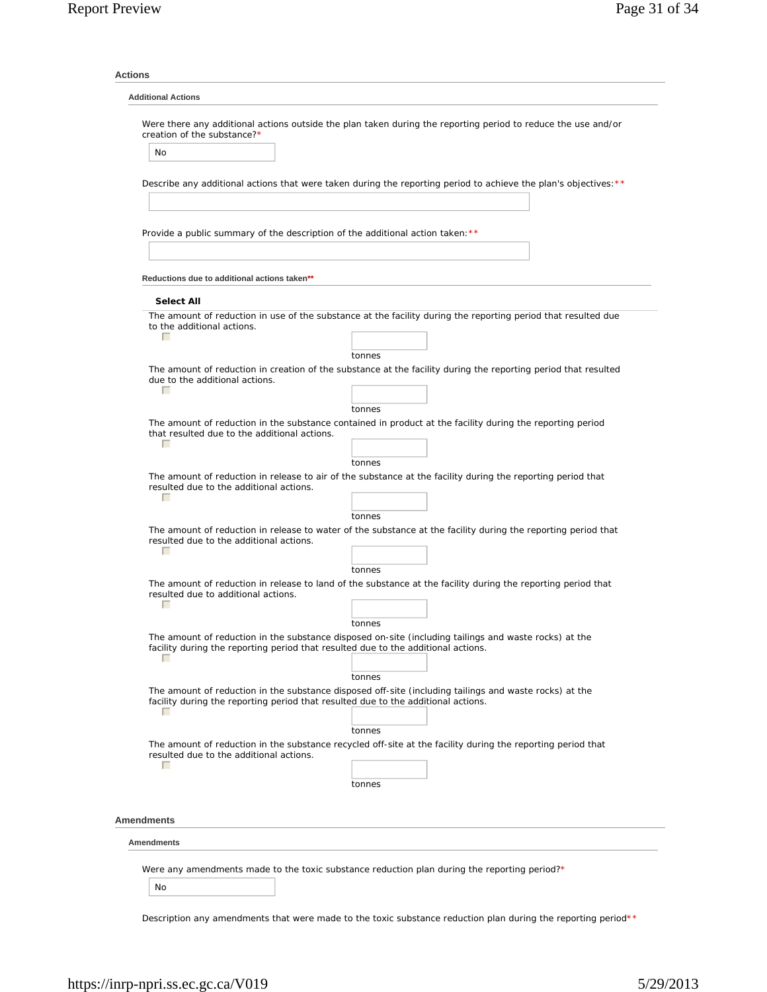| creation of the substance?*                                                            | Were there any additional actions outside the plan taken during the reporting period to reduce the use and/or            |
|----------------------------------------------------------------------------------------|--------------------------------------------------------------------------------------------------------------------------|
| No                                                                                     |                                                                                                                          |
|                                                                                        |                                                                                                                          |
|                                                                                        | Describe any additional actions that were taken during the reporting period to achieve the plan's objectives: **         |
|                                                                                        |                                                                                                                          |
| Provide a public summary of the description of the additional action taken: **         |                                                                                                                          |
|                                                                                        |                                                                                                                          |
|                                                                                        |                                                                                                                          |
| Reductions due to additional actions taken**                                           |                                                                                                                          |
| <b>Select All</b>                                                                      |                                                                                                                          |
| to the additional actions.                                                             | The amount of reduction in use of the substance at the facility during the reporting period that resulted due            |
| П                                                                                      |                                                                                                                          |
|                                                                                        | tonnes<br>The amount of reduction in creation of the substance at the facility during the reporting period that resulted |
| due to the additional actions.                                                         |                                                                                                                          |
| П                                                                                      |                                                                                                                          |
|                                                                                        | tonnes<br>The amount of reduction in the substance contained in product at the facility during the reporting period      |
| that resulted due to the additional actions.<br>г                                      |                                                                                                                          |
|                                                                                        | tonnes                                                                                                                   |
|                                                                                        | The amount of reduction in release to air of the substance at the facility during the reporting period that              |
| resulted due to the additional actions.<br>п                                           |                                                                                                                          |
|                                                                                        | tonnes                                                                                                                   |
| resulted due to the additional actions.<br>г                                           | The amount of reduction in release to water of the substance at the facility during the reporting period that            |
|                                                                                        | tonnes                                                                                                                   |
| resulted due to additional actions.<br>г                                               | The amount of reduction in release to land of the substance at the facility during the reporting period that             |
|                                                                                        | tonnes                                                                                                                   |
| facility during the reporting period that resulted due to the additional actions.<br>г | The amount of reduction in the substance disposed on-site (including tailings and waste rocks) at the                    |
|                                                                                        | tonnes                                                                                                                   |
| facility during the reporting period that resulted due to the additional actions.<br>г | The amount of reduction in the substance disposed off-site (including tailings and waste rocks) at the                   |
|                                                                                        | tonnes                                                                                                                   |
| resulted due to the additional actions.                                                | The amount of reduction in the substance recycled off-site at the facility during the reporting period that              |
| г                                                                                      |                                                                                                                          |
|                                                                                        | tonnes                                                                                                                   |
| <b>Amendments</b>                                                                      |                                                                                                                          |
| <b>Amendments</b>                                                                      |                                                                                                                          |
|                                                                                        |                                                                                                                          |

Description any amendments that were made to the toxic substance reduction plan during the reporting period\*\*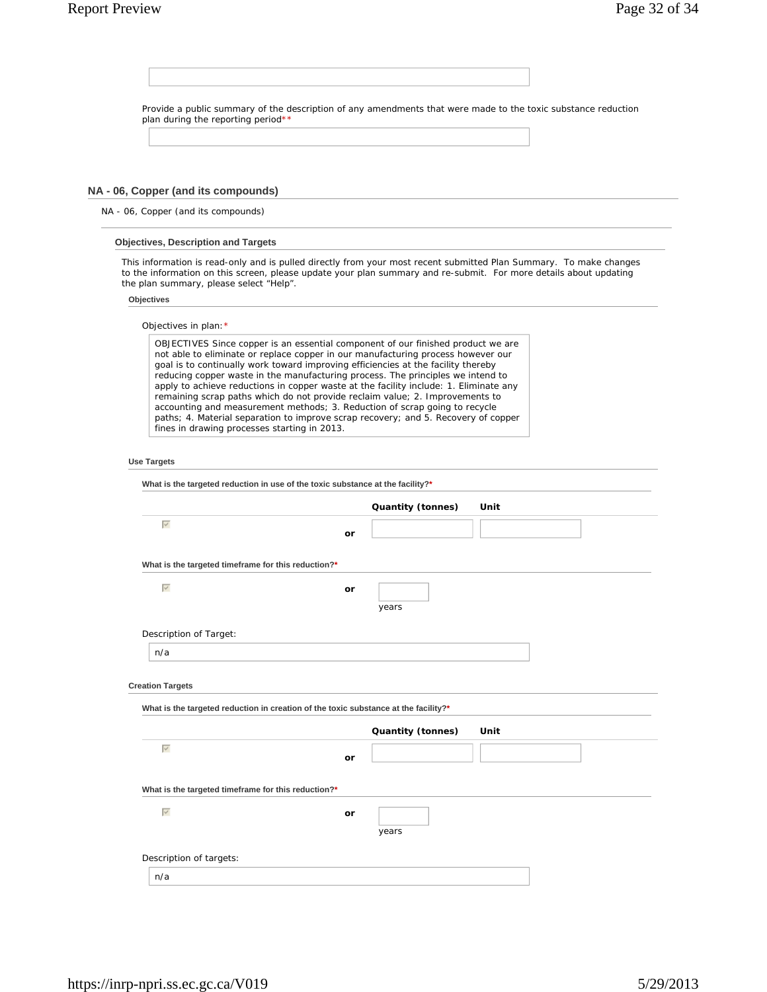| Provide a public summary of the description of any amendments that were made to the toxic substance reduction                                                                                                                                                                                                                                                                                                                                                                                                                                                                                       |    |                   |      |  |
|-----------------------------------------------------------------------------------------------------------------------------------------------------------------------------------------------------------------------------------------------------------------------------------------------------------------------------------------------------------------------------------------------------------------------------------------------------------------------------------------------------------------------------------------------------------------------------------------------------|----|-------------------|------|--|
| plan during the reporting period**                                                                                                                                                                                                                                                                                                                                                                                                                                                                                                                                                                  |    |                   |      |  |
|                                                                                                                                                                                                                                                                                                                                                                                                                                                                                                                                                                                                     |    |                   |      |  |
|                                                                                                                                                                                                                                                                                                                                                                                                                                                                                                                                                                                                     |    |                   |      |  |
| NA - 06, Copper (and its compounds)                                                                                                                                                                                                                                                                                                                                                                                                                                                                                                                                                                 |    |                   |      |  |
| NA - 06, Copper (and its compounds)                                                                                                                                                                                                                                                                                                                                                                                                                                                                                                                                                                 |    |                   |      |  |
| <b>Objectives, Description and Targets</b>                                                                                                                                                                                                                                                                                                                                                                                                                                                                                                                                                          |    |                   |      |  |
| This information is read-only and is pulled directly from your most recent submitted Plan Summary. To make changes<br>to the information on this screen, please update your plan summary and re-submit. For more details about updating<br>the plan summary, please select "Help".                                                                                                                                                                                                                                                                                                                  |    |                   |      |  |
| Objectives                                                                                                                                                                                                                                                                                                                                                                                                                                                                                                                                                                                          |    |                   |      |  |
| Objectives in plan: *                                                                                                                                                                                                                                                                                                                                                                                                                                                                                                                                                                               |    |                   |      |  |
| OBJECTIVES Since copper is an essential component of our finished product we are<br>not able to eliminate or replace copper in our manufacturing process however our<br>goal is to continually work toward improving efficiencies at the facility thereby<br>reducing copper waste in the manufacturing process. The principles we intend to<br>apply to achieve reductions in copper waste at the facility include: 1. Eliminate any<br>remaining scrap paths which do not provide reclaim value; 2. Improvements to<br>accounting and measurement methods; 3. Reduction of scrap going to recycle |    |                   |      |  |
| paths; 4. Material separation to improve scrap recovery; and 5. Recovery of copper<br>fines in drawing processes starting in 2013.                                                                                                                                                                                                                                                                                                                                                                                                                                                                  |    |                   |      |  |
|                                                                                                                                                                                                                                                                                                                                                                                                                                                                                                                                                                                                     |    |                   |      |  |
| <b>Use Targets</b>                                                                                                                                                                                                                                                                                                                                                                                                                                                                                                                                                                                  |    |                   |      |  |
| What is the targeted reduction in use of the toxic substance at the facility?*                                                                                                                                                                                                                                                                                                                                                                                                                                                                                                                      |    |                   |      |  |
|                                                                                                                                                                                                                                                                                                                                                                                                                                                                                                                                                                                                     |    | Quantity (tonnes) | Unit |  |
| $\overline{\vee}$                                                                                                                                                                                                                                                                                                                                                                                                                                                                                                                                                                                   | or |                   |      |  |
|                                                                                                                                                                                                                                                                                                                                                                                                                                                                                                                                                                                                     |    |                   |      |  |
| What is the targeted timeframe for this reduction?*                                                                                                                                                                                                                                                                                                                                                                                                                                                                                                                                                 |    |                   |      |  |
| $\overline{\vee}$                                                                                                                                                                                                                                                                                                                                                                                                                                                                                                                                                                                   | or |                   |      |  |
|                                                                                                                                                                                                                                                                                                                                                                                                                                                                                                                                                                                                     |    | years             |      |  |
| Description of Target:                                                                                                                                                                                                                                                                                                                                                                                                                                                                                                                                                                              |    |                   |      |  |
| n/a                                                                                                                                                                                                                                                                                                                                                                                                                                                                                                                                                                                                 |    |                   |      |  |
| <b>Creation Targets</b>                                                                                                                                                                                                                                                                                                                                                                                                                                                                                                                                                                             |    |                   |      |  |
| What is the targeted reduction in creation of the toxic substance at the facility?*                                                                                                                                                                                                                                                                                                                                                                                                                                                                                                                 |    |                   |      |  |
|                                                                                                                                                                                                                                                                                                                                                                                                                                                                                                                                                                                                     |    |                   |      |  |
| $\overline{\vee}$                                                                                                                                                                                                                                                                                                                                                                                                                                                                                                                                                                                   |    | Quantity (tonnes) | Unit |  |
|                                                                                                                                                                                                                                                                                                                                                                                                                                                                                                                                                                                                     | or |                   |      |  |
| What is the targeted timeframe for this reduction?*                                                                                                                                                                                                                                                                                                                                                                                                                                                                                                                                                 |    |                   |      |  |
| $\overline{\vee}$                                                                                                                                                                                                                                                                                                                                                                                                                                                                                                                                                                                   | or |                   |      |  |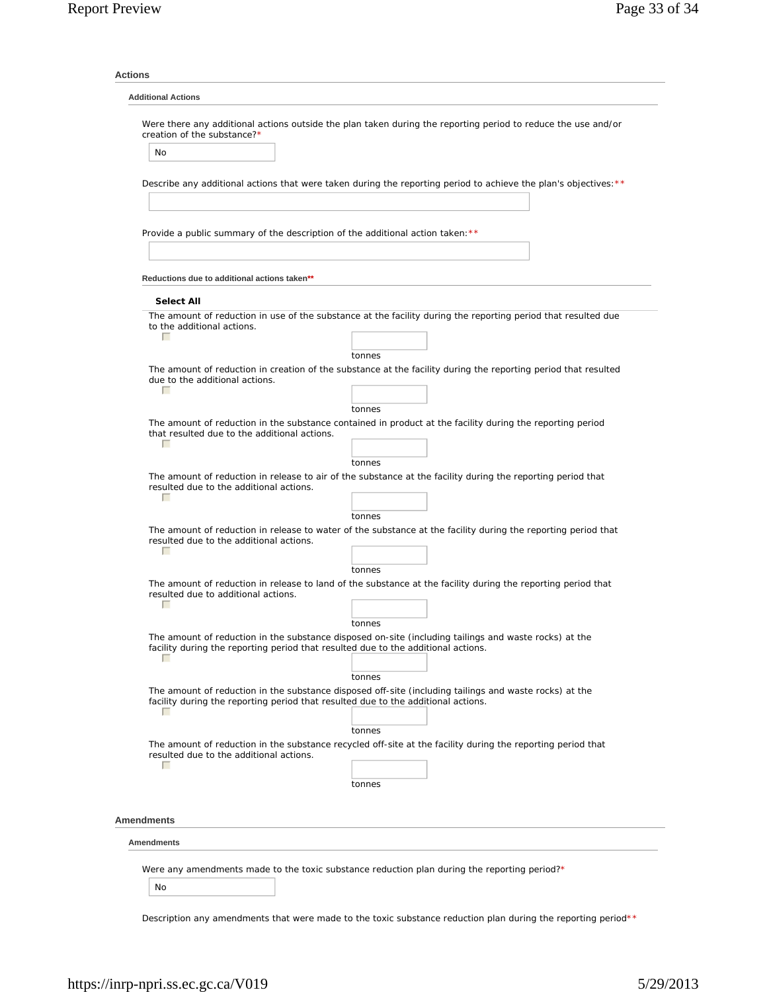| <b>Additional Actions</b>                                                              |                                                                                                                          |
|----------------------------------------------------------------------------------------|--------------------------------------------------------------------------------------------------------------------------|
| creation of the substance?*                                                            | Were there any additional actions outside the plan taken during the reporting period to reduce the use and/or            |
| No                                                                                     |                                                                                                                          |
|                                                                                        | Describe any additional actions that were taken during the reporting period to achieve the plan's objectives: **         |
|                                                                                        |                                                                                                                          |
| Provide a public summary of the description of the additional action taken: **         |                                                                                                                          |
|                                                                                        |                                                                                                                          |
| Reductions due to additional actions taken**                                           |                                                                                                                          |
| <b>Select All</b>                                                                      |                                                                                                                          |
|                                                                                        | The amount of reduction in use of the substance at the facility during the reporting period that resulted due            |
| to the additional actions.<br>г                                                        |                                                                                                                          |
|                                                                                        |                                                                                                                          |
|                                                                                        | tonnes<br>The amount of reduction in creation of the substance at the facility during the reporting period that resulted |
| due to the additional actions.<br>г                                                    |                                                                                                                          |
|                                                                                        | tonnes                                                                                                                   |
|                                                                                        | The amount of reduction in the substance contained in product at the facility during the reporting period                |
| that resulted due to the additional actions.<br>г                                      |                                                                                                                          |
|                                                                                        | tonnes                                                                                                                   |
|                                                                                        | The amount of reduction in release to air of the substance at the facility during the reporting period that              |
| resulted due to the additional actions.<br>п                                           |                                                                                                                          |
|                                                                                        | tonnes                                                                                                                   |
|                                                                                        | The amount of reduction in release to water of the substance at the facility during the reporting period that            |
| resulted due to the additional actions.<br>г                                           |                                                                                                                          |
|                                                                                        | tonnes                                                                                                                   |
| resulted due to additional actions.                                                    | The amount of reduction in release to land of the substance at the facility during the reporting period that             |
| г                                                                                      |                                                                                                                          |
|                                                                                        | The amount of reduction in the substance disposed on-site (including tailings and waste rocks) at the                    |
| facility during the reporting period that resulted due to the additional actions.<br>г |                                                                                                                          |
|                                                                                        | tonnes                                                                                                                   |
| facility during the reporting period that resulted due to the additional actions.<br>п | The amount of reduction in the substance disposed off-site (including tailings and waste rocks) at the                   |
|                                                                                        | tonnes                                                                                                                   |
| resulted due to the additional actions.<br>г                                           | The amount of reduction in the substance recycled off-site at the facility during the reporting period that              |
|                                                                                        | tonnes                                                                                                                   |
|                                                                                        |                                                                                                                          |
| <b>Amendments</b>                                                                      |                                                                                                                          |
| Amendments                                                                             |                                                                                                                          |
|                                                                                        | Were any amendments made to the toxic substance reduction plan during the reporting period?*                             |

Description any amendments that were made to the toxic substance reduction plan during the reporting period\*\*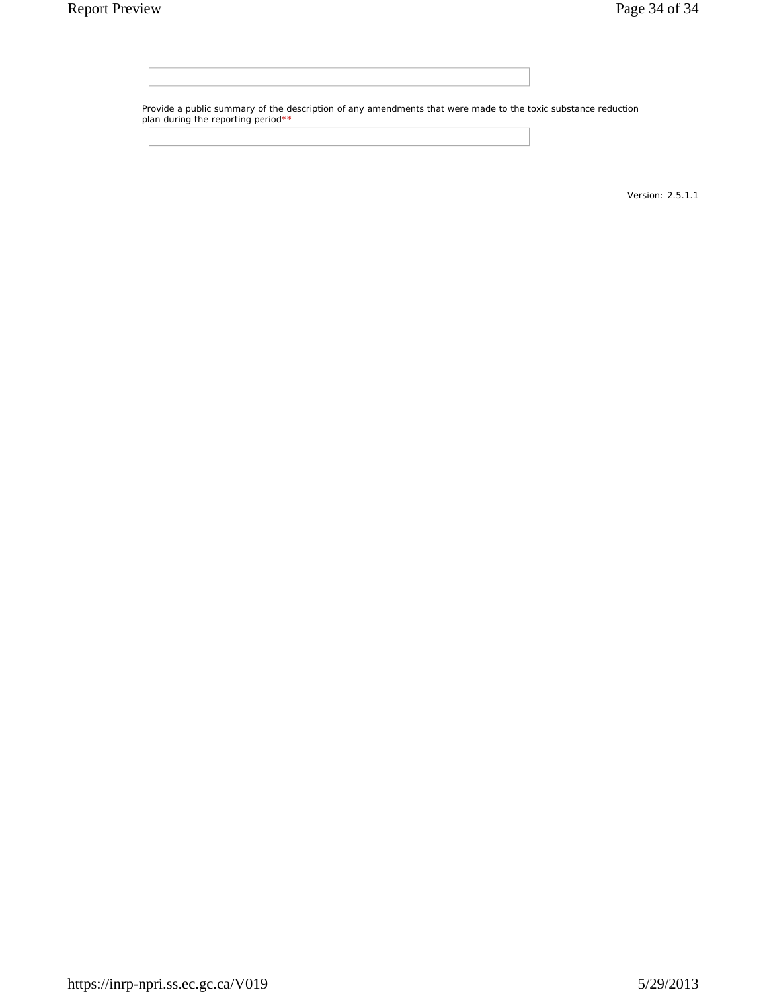Provide a public summary of the description of any amendments that were made to the toxic substance reduction plan during the reporting period\*\*

Version: 2.5.1.1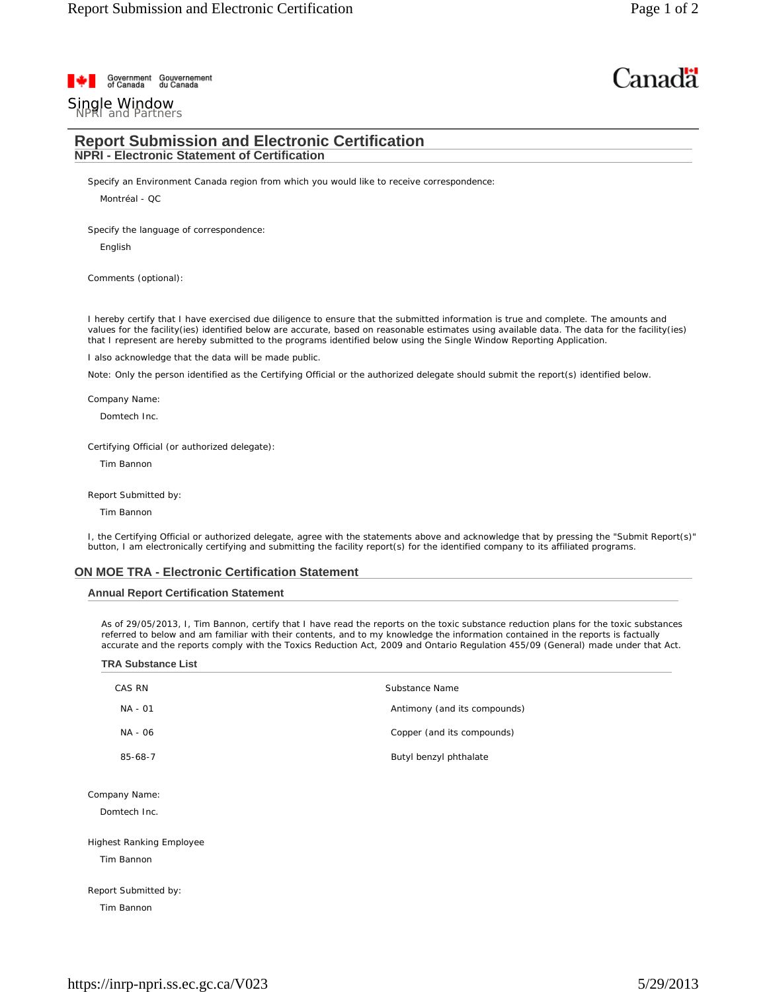# Canadä

# Government Gouvernement<br>of Canada du Canada

# Single Window<br>NPRI and Partners

# **Report Submission and Electronic Certification NPRI - Electronic Statement of Certification**

Specify an Environment Canada region from which you would like to receive correspondence:

Montréal - QC

Specify the language of correspondence:

English

Comments (optional):

I hereby certify that I have exercised due diligence to ensure that the submitted information is true and complete. The amounts and values for the facility(ies) identified below are accurate, based on reasonable estimates using available data. The data for the facility(ies) that I represent are hereby submitted to the programs identified below using the Single Window Reporting Application.

I also acknowledge that the data will be made public.

Note: Only the person identified as the Certifying Official or the authorized delegate should submit the report(s) identified below.

Company Name:

Domtech Inc.

Certifying Official (or authorized delegate):

Tim Bannon

Report Submitted by:

Tim Bannon

I, the Certifying Official or authorized delegate, agree with the statements above and acknowledge that by pressing the "Submit Report(s)" button, I am electronically certifying and submitting the facility report(s) for the identified company to its affiliated programs.

## **ON MOE TRA - Electronic Certification Statement**

## **Annual Report Certification Statement**

As of 29/05/2013, I, Tim Bannon, certify that I have read the reports on the toxic substance reduction plans for the toxic substances referred to below and am familiar with their contents, and to my knowledge the information contained in the reports is factually accurate and the reports comply with the Toxics Reduction Act, 2009 and Ontario Regulation 455/09 (General) made under that Act.

| <b>TRA Substance List</b>                     |                              |
|-----------------------------------------------|------------------------------|
| CAS RN                                        | Substance Name               |
| NA - 01                                       | Antimony (and its compounds) |
| NA - 06                                       | Copper (and its compounds)   |
| $85 - 68 - 7$                                 | Butyl benzyl phthalate       |
| Company Name:<br>Domtech Inc.                 |                              |
| <b>Highest Ranking Employee</b><br>Tim Bannon |                              |
| Report Submitted by:                          |                              |
| Tim Bannon                                    |                              |